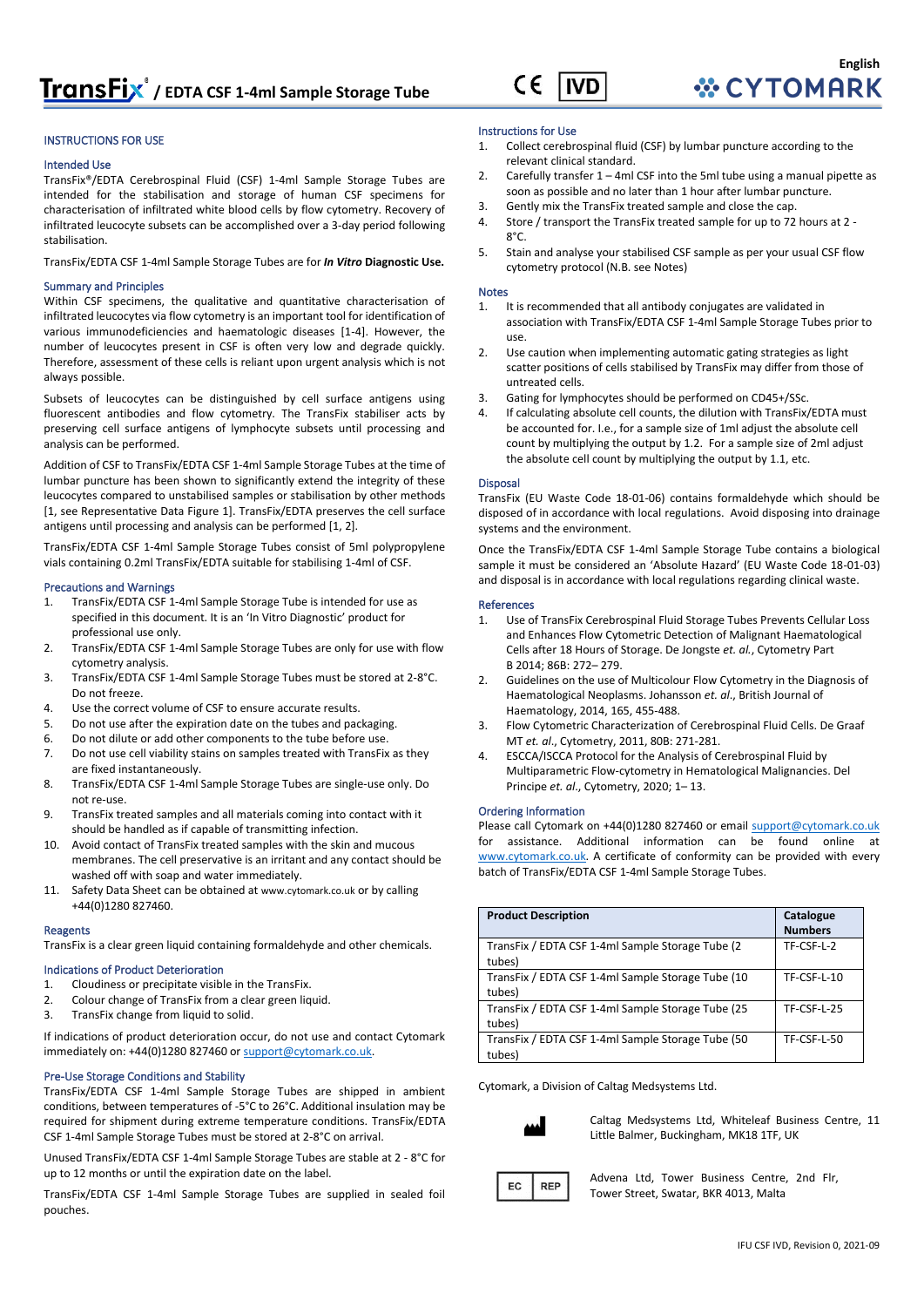

#### INSTRUCTIONS FOR USE

#### Intended Use

TransFix®/EDTA Cerebrospinal Fluid (CSF) 1-4ml Sample Storage Tubes are intended for the stabilisation and storage of human CSF specimens for characterisation of infiltrated white blood cells by flow cytometry. Recovery of infiltrated leucocyte subsets can be accomplished over a 3-day period following stabilisation.

TransFix/EDTA CSF 1-4ml Sample Storage Tubes are for *In Vitro* **Diagnostic Use.**

#### Summary and Principles

Within CSF specimens, the qualitative and quantitative characterisation of infiltrated leucocytes via flow cytometry is an important tool for identification of various immunodeficiencies and haematologic diseases [1-4]. However, the number of leucocytes present in CSF is often very low and degrade quickly. Therefore, assessment of these cells is reliant upon urgent analysis which is not always possible.

Subsets of leucocytes can be distinguished by cell surface antigens using fluorescent antibodies and flow cytometry. The TransFix stabiliser acts by preserving cell surface antigens of lymphocyte subsets until processing and analysis can be performed.

Addition of CSF to TransFix/EDTA CSF 1-4ml Sample Storage Tubes at the time of lumbar puncture has been shown to significantly extend the integrity of these leucocytes compared to unstabilised samples or stabilisation by other methods [1, see Representative Data Figure 1]. TransFix/EDTA preserves the cell surface antigens until processing and analysis can be performed [1, 2].

TransFix/EDTA CSF 1-4ml Sample Storage Tubes consist of 5ml polypropylene vials containing 0.2ml TransFix/EDTA suitable for stabilising 1-4ml of CSF.

#### Precautions and Warnings

- 1. TransFix/EDTA CSF 1-4ml Sample Storage Tube is intended for use as specified in this document. It is an 'In Vitro Diagnostic' product for professional use only.
- 2. TransFix/EDTA CSF 1-4ml Sample Storage Tubes are only for use with flow cytometry analysis.
- 3. TransFix/EDTA CSF 1-4ml Sample Storage Tubes must be stored at 2-8°C. Do not freeze.
- 4. Use the correct volume of CSF to ensure accurate results.
- 5. Do not use after the expiration date on the tubes and packaging.
- 6. Do not dilute or add other components to the tube before use.
- 7. Do not use cell viability stains on samples treated with TransFix as they are fixed instantaneously.
- 8. TransFix/EDTA CSF 1-4ml Sample Storage Tubes are single-use only. Do not re-use.
- 9. TransFix treated samples and all materials coming into contact with it should be handled as if capable of transmitting infection.
- 10. Avoid contact of TransFix treated samples with the skin and mucous membranes. The cell preservative is an irritant and any contact should be washed off with soap and water immediately.
- 11. Safety Data Sheet can be obtained at [www.cytomark.co.uk](http://www.cytomark.co.uk/) or by calling +44(0)1280 827460.

#### Reagents

TransFix is a clear green liquid containing formaldehyde and other chemicals.

#### Indications of Product Deterioration

- 1. Cloudiness or precipitate visible in the TransFix.
- 2. Colour change of TransFix from a clear green liquid.
- 3. TransFix change from liquid to solid.

If indications of product deterioration occur, do not use and contact Cytomark immediately on: +44(0)1280 827460 or support@cytomark.co.uk.

#### Pre-Use Storage Conditions and Stability

TransFix/EDTA CSF 1-4ml Sample Storage Tubes are shipped in ambient conditions, between temperatures of -5°C to 26°C. Additional insulation may be required for shipment during extreme temperature conditions. TransFix/EDTA CSF 1-4ml Sample Storage Tubes must be stored at 2-8°C on arrival.

Unused TransFix/EDTA CSF 1-4ml Sample Storage Tubes are stable at 2 - 8°C for up to 12 months or until the expiration date on the label.

TransFix/EDTA CSF 1-4ml Sample Storage Tubes are supplied in sealed foil pouches.

#### Instructions for Use

- 1. Collect cerebrospinal fluid (CSF) by lumbar puncture according to the relevant clinical standard.
- 2. Carefully transfer 1 4ml CSF into the 5ml tube using a manual pipette as soon as possible and no later than 1 hour after lumbar puncture.
- 3. Gently mix the TransFix treated sample and close the cap.
- 4. Store / transport the TransFix treated sample for up to 72 hours at 2  $8^{\circ}C$
- 5. Stain and analyse your stabilised CSF sample as per your usual CSF flow cytometry protocol (N.B. see Notes)

#### Notes

- 1. It is recommended that all antibody conjugates are validated in association with TransFix/EDTA CSF 1-4ml Sample Storage Tubes prior to use.
- 2. Use caution when implementing automatic gating strategies as light scatter positions of cells stabilised by TransFix may differ from those of untreated cells.
- 3. Gating for lymphocytes should be performed on CD45+/SSc.
- If calculating absolute cell counts, the dilution with TransFix/EDTA must be accounted for. I.e., for a sample size of 1ml adjust the absolute cell count by multiplying the output by 1.2. For a sample size of 2ml adjust the absolute cell count by multiplying the output by 1.1, etc.

#### Disposal

TransFix (EU Waste Code 18-01-06) contains formaldehyde which should be disposed of in accordance with local regulations. Avoid disposing into drainage systems and the environment.

Once the TransFix/EDTA CSF 1-4ml Sample Storage Tube contains a biological sample it must be considered an 'Absolute Hazard' (EU Waste Code 18-01-03) and disposal is in accordance with local regulations regarding clinical waste.

#### References

- 1. Use of TransFix Cerebrospinal Fluid Storage Tubes Prevents Cellular Loss and Enhances Flow Cytometric Detection of Malignant Haematological Cells after 18 Hours of Storage. De Jongste *et. al.*, Cytometry Part B 2014; 86B: 272– 279.
- 2. Guidelines on the use of Multicolour Flow Cytometry in the Diagnosis of Haematological Neoplasms. Johansson *et. al*., British Journal of Haematology, 2014, 165, 455-488.
- 3. Flow Cytometric Characterization of Cerebrospinal Fluid Cells. De Graaf MT *et. al*., Cytometry, 2011, 80B: 271-281.
- 4. ESCCA/ISCCA Protocol for the Analysis of Cerebrospinal Fluid by Multiparametric Flow‐cytometry in Hematological Malignancies. Del Principe *et. al*., Cytometry, 2020; 1– 13.

#### Ordering Information

Please call Cytomark on +44(0)1280 827460 or emai[l support@cytomark.co.uk](mailto:cytomark@caltagmedsystems.co.uk) for assistance. Additional information can be found online at [www.cytomark.co.uk.](http://www.cytomark.co.uk/) A certificate of conformity can be provided with every batch of TransFix/EDTA CSF 1-4ml Sample Storage Tubes.

| <b>Product Description</b>                                  | Catalogue<br><b>Numbers</b> |
|-------------------------------------------------------------|-----------------------------|
| TransFix / EDTA CSF 1-4ml Sample Storage Tube (2)<br>tubes) | TF-CSF-L-2                  |
| TransFix / EDTA CSF 1-4ml Sample Storage Tube (10<br>tubes) | TF-CSF-L-10                 |
| TransFix / EDTA CSF 1-4ml Sample Storage Tube (25<br>tubes) | TF-CSF-L-25                 |
| TransFix / EDTA CSF 1-4ml Sample Storage Tube (50<br>tubes) | TF-CSF-L-50                 |

Cytomark, a Division of Caltag Medsystems Ltd.



Caltag Medsystems Ltd, Whiteleaf Business Centre, 11 Little Balmer, Buckingham, MK18 1TF, UK



Advena Ltd, Tower Business Centre, 2nd Flr, Tower Street, Swatar, BKR 4013, Malta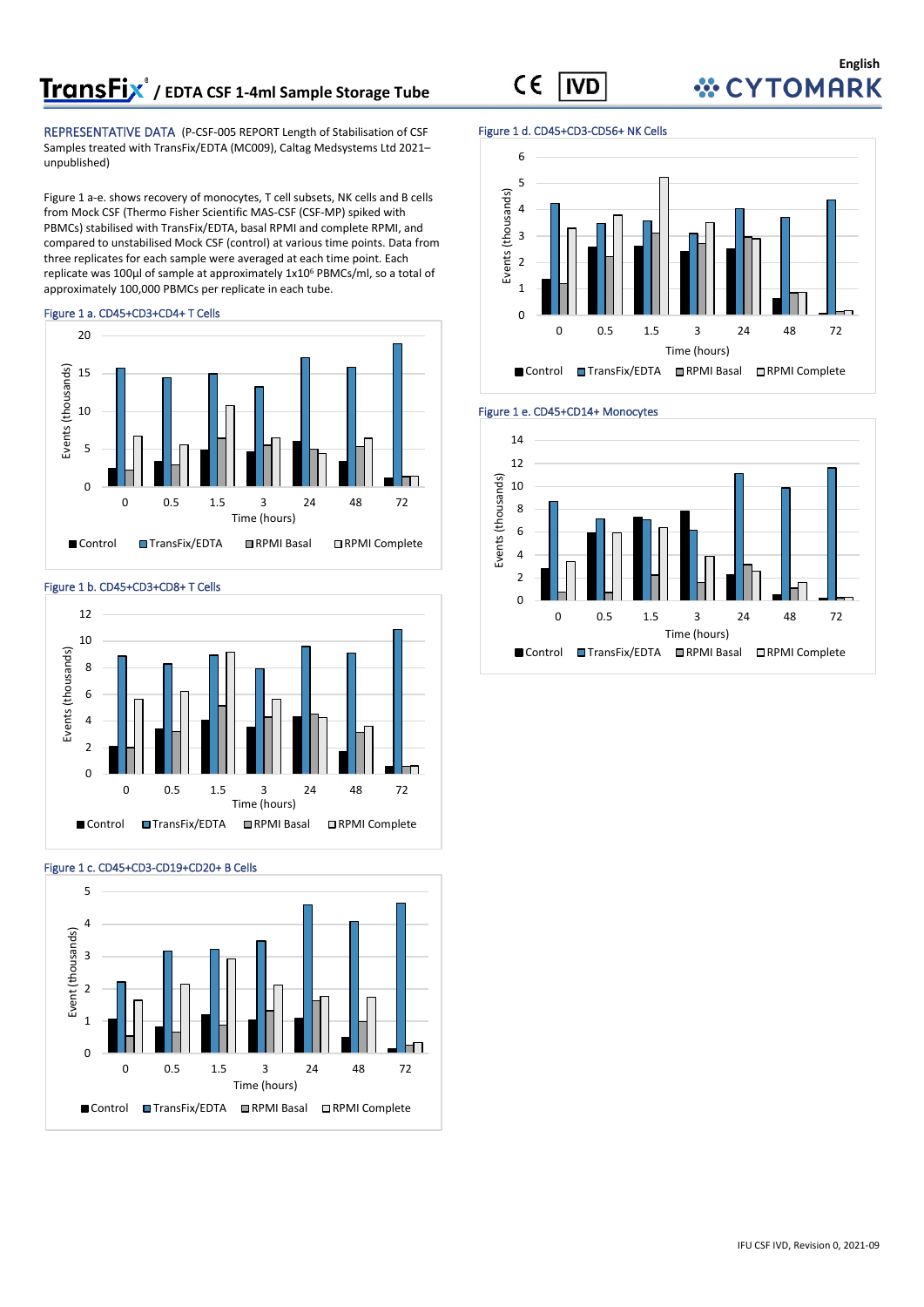# **TransFix**<sup>*o*</sup> / EDTA CSF 1-4ml Sample Storage Tube

REPRESENTATIVE DATA (P-CSF-005 REPORT Length of Stabilisation of CSF Samples treated with TransFix/EDTA (MC009), Caltag Medsystems Ltd 2021– unpublished)

Figure 1 a-e. shows recovery of monocytes, T cell subsets, NK cells and B cells from Mock CSF (Thermo Fisher Scientific MAS-CSF (CSF-MP) spiked with PBMCs) stabilised with TransFix/EDTA, basal RPMI and complete RPMI, and compared to unstabilised Mock CSF (control) at various time points. Data from three replicates for each sample were averaged at each time point. Each replicate was 100µl of sample at approximately 1x10<sup>6</sup> PBMCs/ml, so a total of approximately 100,000 PBMCs per replicate in each tube.





#### Figure 1 b. CD45+CD3+CD8+ T Cells





#### Figure 1 c. CD45+CD3-CD19+CD20+ B Cells

#### Figure 1 d. CD45+CD3-CD56+ NK Cells





**English WCYTOMARK** 

#### $\epsilon$ **IVD**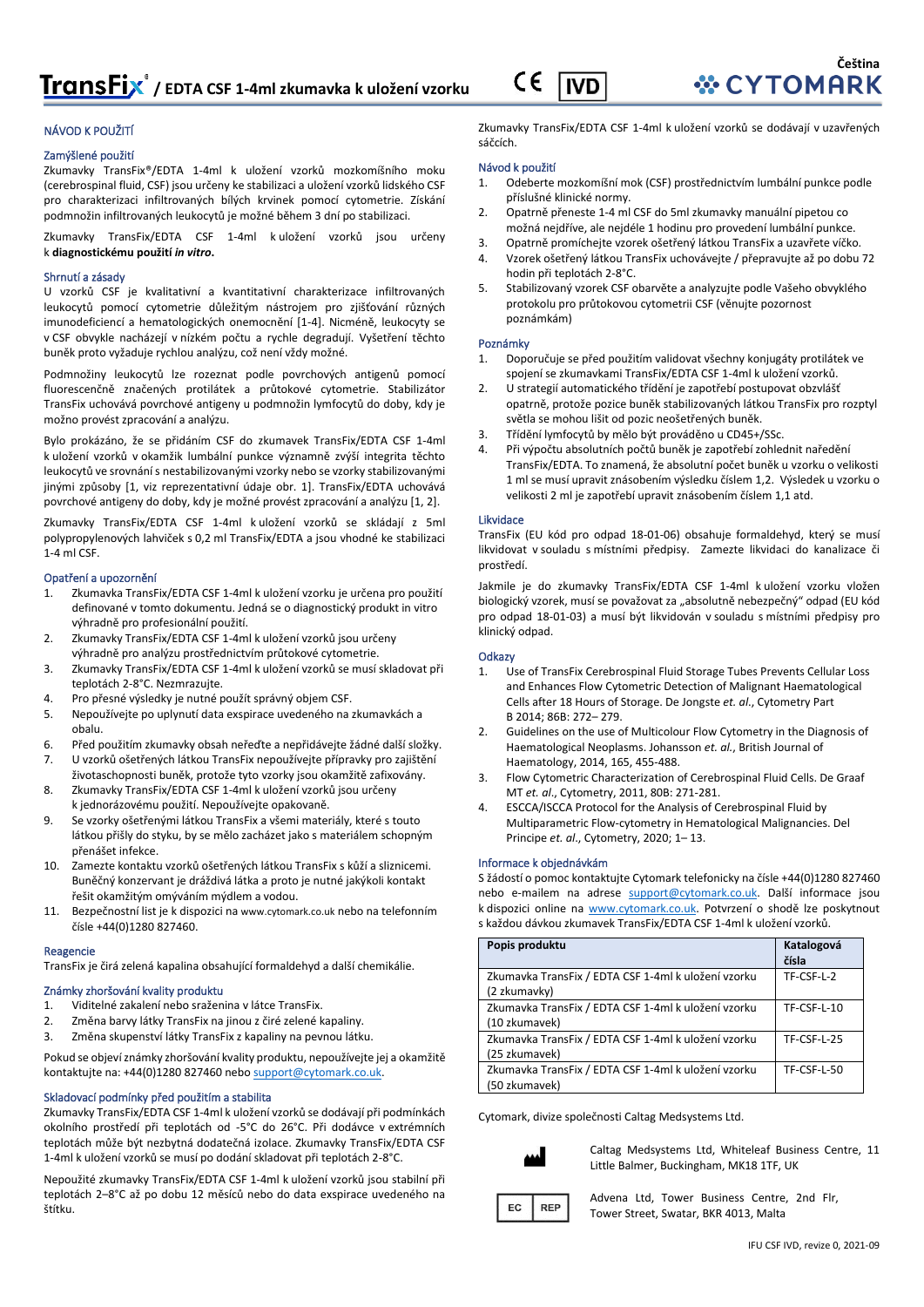#### CE **IVD**

#### NÁVOD K POUŽITÍ

#### Zamýšlené použití

Zkumavky TransFix®/EDTA 1-4ml k uložení vzorků mozkomíšního moku (cerebrospinal fluid, CSF) jsou určeny ke stabilizaci a uložení vzorků lidského CSF pro charakterizaci infiltrovaných bílých krvinek pomocí cytometrie. Získání podmnožin infiltrovaných leukocytů je možné během 3 dní po stabilizaci.

Zkumavky TransFix/EDTA CSF 1-4ml k uložení vzorků jsou určeny k **diagnostickému použití** *in vitro***.**

#### Shrnutí a zásady

U vzorků CSF je kvalitativní a kvantitativní charakterizace infiltrovaných leukocytů pomocí cytometrie důležitým nástrojem pro zjišťování různých imunodeficiencí a hematologických onemocnění [1-4]. Nicméně, leukocyty se v CSF obvykle nacházejí v nízkém počtu a rychle degradují. Vyšetření těchto buněk proto vyžaduje rychlou analýzu, což není vždy možné.

Podmnožiny leukocytů lze rozeznat podle povrchových antigenů pomocí fluorescenčně značených protilátek a průtokové cytometrie. Stabilizátor TransFix uchovává povrchové antigeny u podmnožin lymfocytů do doby, kdy je možno provést zpracování a analýzu.

Bylo prokázáno, že se přidáním CSF do zkumavek TransFix/EDTA CSF 1-4ml k uložení vzorků v okamžik lumbální punkce významně zvýší integrita těchto leukocytů ve srovnání s nestabilizovanými vzorky nebo se vzorky stabilizovanými jinými způsoby [1, viz reprezentativní údaje obr. 1]. TransFix/EDTA uchovává povrchové antigeny do doby, kdy je možné provést zpracování a analýzu [1, 2].

Zkumavky TransFix/EDTA CSF 1-4ml k uložení vzorků se skládají z 5ml polypropylenových lahviček s 0,2 ml TransFix/EDTA a jsou vhodné ke stabilizaci 1-4 ml CSF.

#### Opatření a upozornění

- 1. Zkumavka TransFix/EDTA CSF 1-4ml k uložení vzorku je určena pro použití definované v tomto dokumentu. Jedná se o diagnostický produkt in vitro výhradně pro profesionální použití.
- 2. Zkumavky TransFix/EDTA CSF 1-4ml k uložení vzorků jsou určeny výhradně pro analýzu prostřednictvím průtokové cytometrie.
- 3. Zkumavky TransFix/EDTA CSF 1-4ml k uložení vzorků se musí skladovat při teplotách 2-8°C. Nezmrazujte.
- 4. Pro přesné výsledky je nutné použít správný objem CSF.
- 5. Nepoužívejte po uplynutí data exspirace uvedeného na zkumavkách a obalu.
- 6. Před použitím zkumavky obsah neřeďte a nepřidávejte žádné další složky.
- 7. U vzorků ošetřených látkou TransFix nepoužívejte přípravky pro zajištění životaschopnosti buněk, protože tyto vzorky jsou okamžitě zafixovány.
- 8. Zkumavky TransFix/EDTA CSF 1-4ml k uložení vzorků jsou určeny k jednorázovému použití. Nepoužívejte opakovaně.
- 9. Se vzorky ošetřenými látkou TransFix a všemi materiály, které s touto látkou přišly do styku, by se mělo zacházet jako s materiálem schopným přenášet infekce.
- 10. Zamezte kontaktu vzorků ošetřených látkou TransFix s kůží a sliznicemi. Buněčný konzervant je dráždivá látka a proto je nutné jakýkoli kontakt řešit okamžitým omýváním mýdlem a vodou.
- 11. Bezpečnostní list je k dispozici na [www.cytomark.co.uk](http://www.cytomark.co.uk/) nebo na telefonním čísle +44(0)1280 827460.

#### Reagencie

TransFix je čirá zelená kapalina obsahující formaldehyd a další chemikálie.

#### Známky zhoršování kvality produktu

- 1. Viditelné zakalení nebo sraženina v látce TransFix.
- 2. Změna barvy látky TransFix na jinou z čiré zelené kapaliny.
- 3. Změna skupenství látky TransFix z kapaliny na pevnou látku.

Pokud se objeví známky zhoršování kvality produktu, nepoužívejte jej a okamžitě kontaktujte na: +44(0)1280 827460 neb[o support@cytomark.co.uk.](mailto:cytomark@caltagmedsystems.co.uk) 

#### Skladovací podmínky před použitím a stabilita

Zkumavky TransFix/EDTA CSF 1-4ml k uložení vzorků se dodávají při podmínkách okolního prostředí při teplotách od -5°C do 26°C. Při dodávce v extrémních teplotách může být nezbytná dodatečná izolace. Zkumavky TransFix/EDTA CSF 1-4ml k uložení vzorků se musí po dodání skladovat při teplotách 2-8°C.

Nepoužité zkumavky TransFix/EDTA CSF 1-4ml k uložení vzorků jsou stabilní při teplotách 2–8°C až po dobu 12 měsíců nebo do data exspirace uvedeného na štítku.

Zkumavky TransFix/EDTA CSF 1-4ml k uložení vzorků se dodávají v uzavřených sáčcích.

#### Návod k použití

- 1. Odeberte mozkomíšní mok (CSF) prostřednictvím lumbální punkce podle příslušné klinické normy.
- 2. Opatrně přeneste 1-4 ml CSF do 5ml zkumavky manuální pipetou co možná nejdříve, ale nejdéle 1 hodinu pro provedení lumbální punkce.
- 3. Opatrně promíchejte vzorek ošetřený látkou TransFix a uzavřete víčko. 4. Vzorek ošetřený látkou TransFix uchovávejte / přepravujte až po dobu 72
- hodin při teplotách 2-8°C. 5. Stabilizovaný vzorek CSF obarvěte a analyzujte podle Vašeho obvyklého
- protokolu pro průtokovou cytometrii CSF (věnujte pozornost poznámkám)

#### Poznámky

- 1. Doporučuje se před použitím validovat všechny konjugáty protilátek ve spojení se zkumavkami TransFix/EDTA CSF 1-4ml k uložení vzorků.
- 2. U strategií automatického třídění je zapotřebí postupovat obzvlášť opatrně, protože pozice buněk stabilizovaných látkou TransFix pro rozptyl světla se mohou lišit od pozic neošetřených buněk.
- 3. Třídění lymfocytů by mělo být prováděno u CD45+/SSc.
- 4. Při výpočtu absolutních počtů buněk je zapotřebí zohlednit naředění TransFix/EDTA. To znamená, že absolutní počet buněk u vzorku o velikosti 1 ml se musí upravit znásobením výsledku číslem 1,2. Výsledek u vzorku o velikosti 2 ml je zapotřebí upravit znásobením číslem 1,1 atd.

#### Likvidace

TransFix (EU kód pro odpad 18-01-06) obsahuje formaldehyd, který se musí likvidovat v souladu s místními předpisy. Zamezte likvidaci do kanalizace či prostředí.

Jakmile je do zkumavky TransFix/EDTA CSF 1-4ml k uložení vzorku vložen biologický vzorek, musí se považovat za "absolutně nebezpečný" odpad (EU kód pro odpad 18-01-03) a musí být likvidován v souladu s místními předpisy pro klinický odpad.

#### **Odkazy**

- 1. Use of TransFix Cerebrospinal Fluid Storage Tubes Prevents Cellular Loss and Enhances Flow Cytometric Detection of Malignant Haematological Cells after 18 Hours of Storage. De Jongste *et. al*., Cytometry Part B 2014; 86B: 272– 279.
- 2. Guidelines on the use of Multicolour Flow Cytometry in the Diagnosis of Haematological Neoplasms. Johansson *et. al.*, British Journal of Haematology, 2014, 165, 455-488.
- 3. Flow Cytometric Characterization of Cerebrospinal Fluid Cells. De Graaf MT *et. al*., Cytometry, 2011, 80B: 271-281.
- 4. ESCCA/ISCCA Protocol for the Analysis of Cerebrospinal Fluid by Multiparametric Flow‐cytometry in Hematological Malignancies. Del Principe *et. al*., Cytometry, 2020; 1– 13.

#### Informace k objednávkám

S žádostí o pomoc kontaktujte Cytomark telefonicky na čísle +44(0)1280 827460 nebo e-mailem na adrese [support@cytomark.co.uk.](mailto:cytomark@caltagmedsystems.co.uk) Další informace jsou k dispozici online na [www.cytomark.co.uk.](http://www.cytomark.co.uk/) Potvrzení o shodě lze poskytnout s každou dávkou zkumavek TransFix/EDTA CSF 1-4ml k uložení vzorků.

| Popis produktu                                                       | Katalogová<br>čísla |
|----------------------------------------------------------------------|---------------------|
| Zkumavka TransFix / EDTA CSF 1-4ml k uložení vzorku<br>(2 zkumavky)  | TF-CSF-L-2          |
| Zkumavka TransFix / EDTA CSF 1-4ml k uložení vzorku<br>(10 zkumavek) | <b>TF-CSF-L-10</b>  |
| Zkumavka TransFix / EDTA CSF 1-4ml k uložení vzorku<br>(25 zkumavek) | <b>TF-CSF-L-25</b>  |
| Zkumavka TransFix / EDTA CSF 1-4ml k uložení vzorku<br>(50 zkumavek) | <b>TF-CSF-L-50</b>  |

Cytomark, divize společnosti Caltag Medsystems Ltd.



Caltag Medsystems Ltd, Whiteleaf Business Centre, 11 Little Balmer, Buckingham, MK18 1TF, UK

EC **REP**  Advena Ltd, Tower Business Centre, 2nd Flr, Tower Street, Swatar, BKR 4013, Malta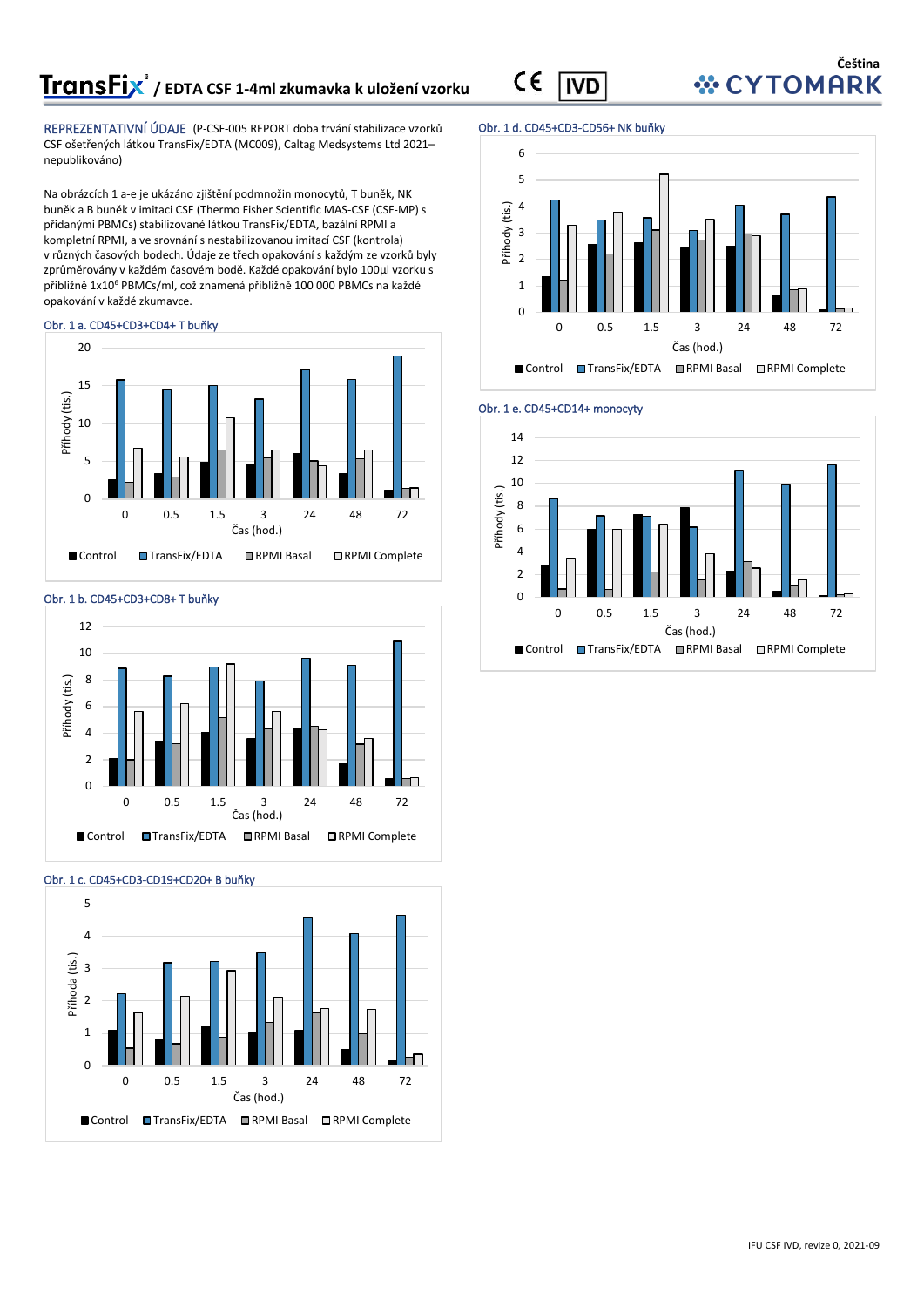REPREZENTATIVNÍ ÚDAJE (P-CSF-005 REPORT doba trvání stabilizace vzorků CSF ošetřených látkou TransFix/EDTA (MC009), Caltag Medsystems Ltd 2021– nepublikováno)

Na obrázcích 1 a-e je ukázáno zjištění podmnožin monocytů, T buněk, NK buněk a B buněk v imitaci CSF (Thermo Fisher Scientific MAS-CSF (CSF-MP) s přidanými PBMCs) stabilizované látkou TransFix/EDTA, bazální RPMI a kompletní RPMI, a ve srovnání s nestabilizovanou imitací CSF (kontrola) v různých časových bodech. Údaje ze třech opakování s každým ze vzorků byly zprůměrovány v každém časovém bodě. Každé opakování bylo 100µl vzorku s přibližně 1x10<sup>6</sup> PBMCs/ml, což znamená přibližně 100 000 PBMCs na každé opakování v každé zkumavce.

#### Obr. 1 a. CD45+CD3+CD4+ T buňky





## Obr. 1 c. CD45+CD3-CD19+CD20+ B buňky



#### Obr. 1 d. CD45+CD3-CD56+ NK buňky

**IVD** 

CE







# *<b><i>* CYTOMARK

**Čeština**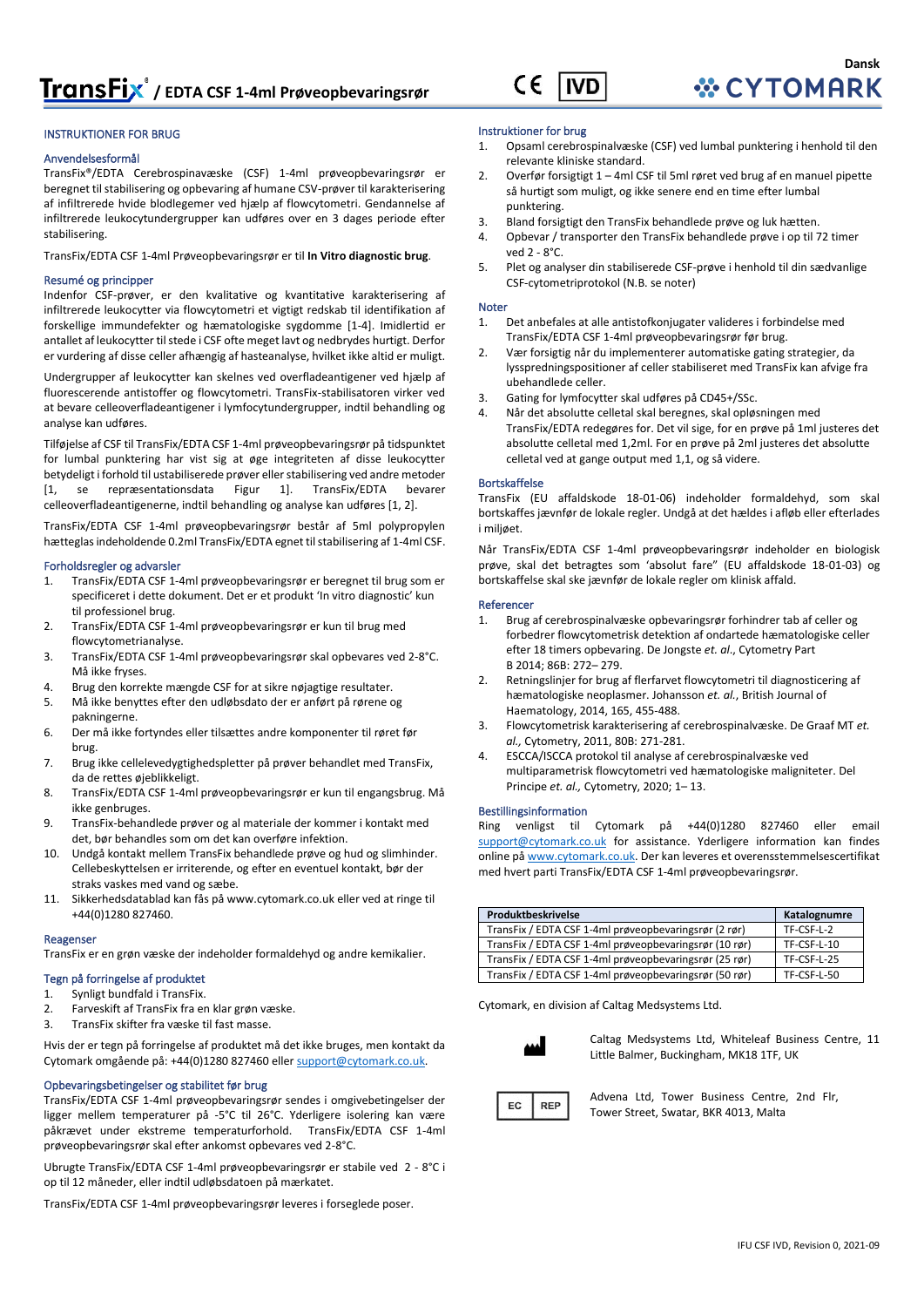# **/ EDTA CSF 1-4ml Prøveopbevaringsrør**

#### CE **IVD**

#### INSTRUKTIONER FOR BRUG

#### Anvendelsesformål

TransFix®/EDTA Cerebrospinavæske (CSF) 1-4ml prøveopbevaringsrør er beregnet til stabilisering og opbevaring af humane CSV-prøver til karakterisering af infiltrerede hvide blodlegemer ved hjælp af flowcytometri. Gendannelse af infiltrerede leukocytundergrupper kan udføres over en 3 dages periode efter stabilisering.

TransFix/EDTA CSF 1-4ml Prøveopbevaringsrør er til **In Vitro diagnostic brug**.

#### Resumé og principper

Indenfor CSF-prøver, er den kvalitative og kvantitative karakterisering af infiltrerede leukocytter via flowcytometri et vigtigt redskab til identifikation af forskellige immundefekter og hæmatologiske sygdomme [1-4]. Imidlertid er antallet af leukocytter til stede i CSF ofte meget lavt og nedbrydes hurtigt. Derfor er vurdering af disse celler afhængig af hasteanalyse, hvilket ikke altid er muligt.

Undergrupper af leukocytter kan skelnes ved overfladeantigener ved hjælp af fluorescerende antistoffer og flowcytometri. TransFix-stabilisatoren virker ved at bevare celleoverfladeantigener i lymfocytundergrupper, indtil behandling og analyse kan udføres.

Tilføjelse af CSF til TransFix/EDTA CSF 1-4ml prøveopbevaringsrør på tidspunktet for lumbal punktering har vist sig at øge integriteten af disse leukocytter betydeligt i forhold til ustabiliserede prøver eller stabilisering ved andre metoder [1, se repræsentationsdata Figur 1]. TransFix/EDTA bevarer celleoverfladeantigenerne, indtil behandling og analyse kan udføres [1, 2].

TransFix/EDTA CSF 1-4ml prøveopbevaringsrør består af 5ml polypropylen hætteglas indeholdende 0.2ml TransFix/EDTA egnet til stabilisering af 1-4ml CSF.

#### Forholdsregler og advarsler

- 1. TransFix/EDTA CSF 1-4ml prøveopbevaringsrør er beregnet til brug som er specificeret i dette dokument. Det er et produkt 'In vitro diagnostic' kun til professionel brug.
- 2. TransFix/EDTA CSF 1-4ml prøveopbevaringsrør er kun til brug med flowcytometrianalyse.
- 3. TransFix/EDTA CSF 1-4ml prøveopbevaringsrør skal opbevares ved 2-8°C. Må ikke fryses.
- 4. Brug den korrekte mængde CSF for at sikre nøjagtige resultater.
- 5. Må ikke benyttes efter den udløbsdato der er anført på rørene og pakningerne.
- 6. Der må ikke fortyndes eller tilsættes andre komponenter til røret før brug.
- 7. Brug ikke cellelevedygtighedspletter på prøver behandlet med TransFix, da de rettes øjeblikkeligt.
- 8. TransFix/EDTA CSF 1-4ml prøveopbevaringsrør er kun til engangsbrug. Må ikke genbruges.
- 9. TransFix-behandlede prøver og al materiale der kommer i kontakt med det, bør behandles som om det kan overføre infektion.
- 10. Undgå kontakt mellem TransFix behandlede prøve og hud og slimhinder. Cellebeskyttelsen er irriterende, og efter en eventuel kontakt, bør der straks vaskes med vand og sæbe.
- 11. Sikkerhedsdatablad kan fås p[å www.cytomark.co.uk](http://www.cytomark.co.uk/) eller ved at ringe til +44(0)1280 827460.

#### Reagenser

TransFix er en grøn væske der indeholder formaldehyd og andre kemikalier.

#### Tegn på forringelse af produktet

- 1. Synligt bundfald i TransFix. 2. Farveskift af TransFix fra en klar grøn væske.
- 3. TransFix skifter fra væske til fast masse.

Hvis der er tegn på forringelse af produktet må det ikke bruges, men kontakt da Cytomark omgående på: +44(0)1280 827460 elle[r support@cytomark.co.uk.](mailto:cytomark@caltagmedsystems.co.uk) 

#### Opbevaringsbetingelser og stabilitet før brug

TransFix/EDTA CSF 1-4ml prøveopbevaringsrør sendes i omgivebetingelser der ligger mellem temperaturer på -5°C til 26°C. Yderligere isolering kan være påkrævet under ekstreme temperaturforhold. TransFix/EDTA CSF 1-4ml prøveopbevaringsrør skal efter ankomst opbevares ved 2-8°C.

Ubrugte TransFix/EDTA CSF 1-4ml prøveopbevaringsrør er stabile ved 2 - 8°C i op til 12 måneder, eller indtil udløbsdatoen på mærkatet.

TransFix/EDTA CSF 1-4ml prøveopbevaringsrør leveres i forseglede poser.

### Instruktioner for brug

- 1. Opsaml cerebrospinalvæske (CSF) ved lumbal punktering i henhold til den relevante kliniske standard.
- 2. Overfør forsigtigt 1 4ml CSF til 5ml røret ved brug af en manuel pipette så hurtigt som muligt, og ikke senere end en time efter lumbal punktering.
- 3. Bland forsigtigt den TransFix behandlede prøve og luk hætten.
- 4. Opbevar / transporter den TransFix behandlede prøve i op til 72 timer ved 2 - 8°C.
- 5. Plet og analyser din stabiliserede CSF-prøve i henhold til din sædvanlige CSF-cytometriprotokol (N.B. se noter)

#### **Noter**

- 1. Det anbefales at alle antistofkonjugater valideres i forbindelse med TransFix/EDTA CSF 1-4ml prøveopbevaringsrør før brug.
- 2. Vær forsigtig når du implementerer automatiske gating strategier, da lysspredningspositioner af celler stabiliseret med TransFix kan afvige fra ubehandlede celler.
- 3. Gating for lymfocytter skal udføres på CD45+/SSc.
- 4. Når det absolutte celletal skal beregnes, skal opløsningen med TransFix/EDTA redegøres for. Det vil sige, for en prøve på 1ml justeres det absolutte celletal med 1,2ml. For en prøve på 2ml justeres det absolutte celletal ved at gange output med 1,1, og så videre.

#### Bortskaffelse

TransFix (EU affaldskode 18-01-06) indeholder formaldehyd, som skal bortskaffes jævnfør de lokale regler. Undgå at det hældes i afløb eller efterlades i miljøet.

Når TransFix/EDTA CSF 1-4ml prøveopbevaringsrør indeholder en biologisk prøve, skal det betragtes som 'absolut fare" (EU affaldskode 18-01-03) og bortskaffelse skal ske jævnfør de lokale regler om klinisk affald.

#### Referencer

- 1. Brug af cerebrospinalvæske opbevaringsrør forhindrer tab af celler og forbedrer flowcytometrisk detektion af ondartede hæmatologiske celler efter 18 timers opbevaring. De Jongste *et. al*., Cytometry Part B 2014; 86B: 272– 279.
- 2. Retningslinjer for brug af flerfarvet flowcytometri til diagnosticering af hæmatologiske neoplasmer. Johansson *et. al.*, British Journal of Haematology, 2014, 165, 455-488.
- 3. Flowcytometrisk karakterisering af cerebrospinalvæske. De Graaf MT *et. al.,* Cytometry, 2011, 80B: 271-281.
- 4. ESCCA/ISCCA protokol til analyse af cerebrospinalvæske ved multiparametrisk flowcytometri ved hæmatologiske maligniteter. Del Principe *et. al.,* Cytometry, 2020; 1– 13.

#### Bestillingsinformation

Ring venligst til Cytomark på +44(0)1280 827460 eller email [support@cytomark.co.uk](mailto:cytomark@caltagmedsystems.co.uk) for assistance. Yderligere information kan findes online p[å www.cytomark.co.uk.](http://www.cytomark.co.uk/) Der kan leveres et overensstemmelsescertifikat med hvert parti TransFix/EDTA CSF 1-4ml prøveopbevaringsrør.

| Produktbeskrivelse                                     | Katalognumre |
|--------------------------------------------------------|--------------|
| TransFix / EDTA CSF 1-4ml prøveopbevaringsrør (2 rør)  | TF-CSF-L-2   |
| TransFix / EDTA CSF 1-4ml prøveopbevaringsrør (10 rør) | TF-CSF-L-10  |
| TransFix / EDTA CSF 1-4ml prøveopbevaringsrør (25 rør) | TF-CSF-L-25  |
| TransFix / EDTA CSF 1-4ml prøveopbevaringsrør (50 rør) | TF-CSF-L-50  |

Cytomark, en division af Caltag Medsystems Ltd.



Caltag Medsystems Ltd, Whiteleaf Business Centre, 11 Little Balmer, Buckingham, MK18 1TF, UK

Advena Ltd, Tower Business Centre, 2nd Flr, Tower Street, Swatar, BKR 4013, Malta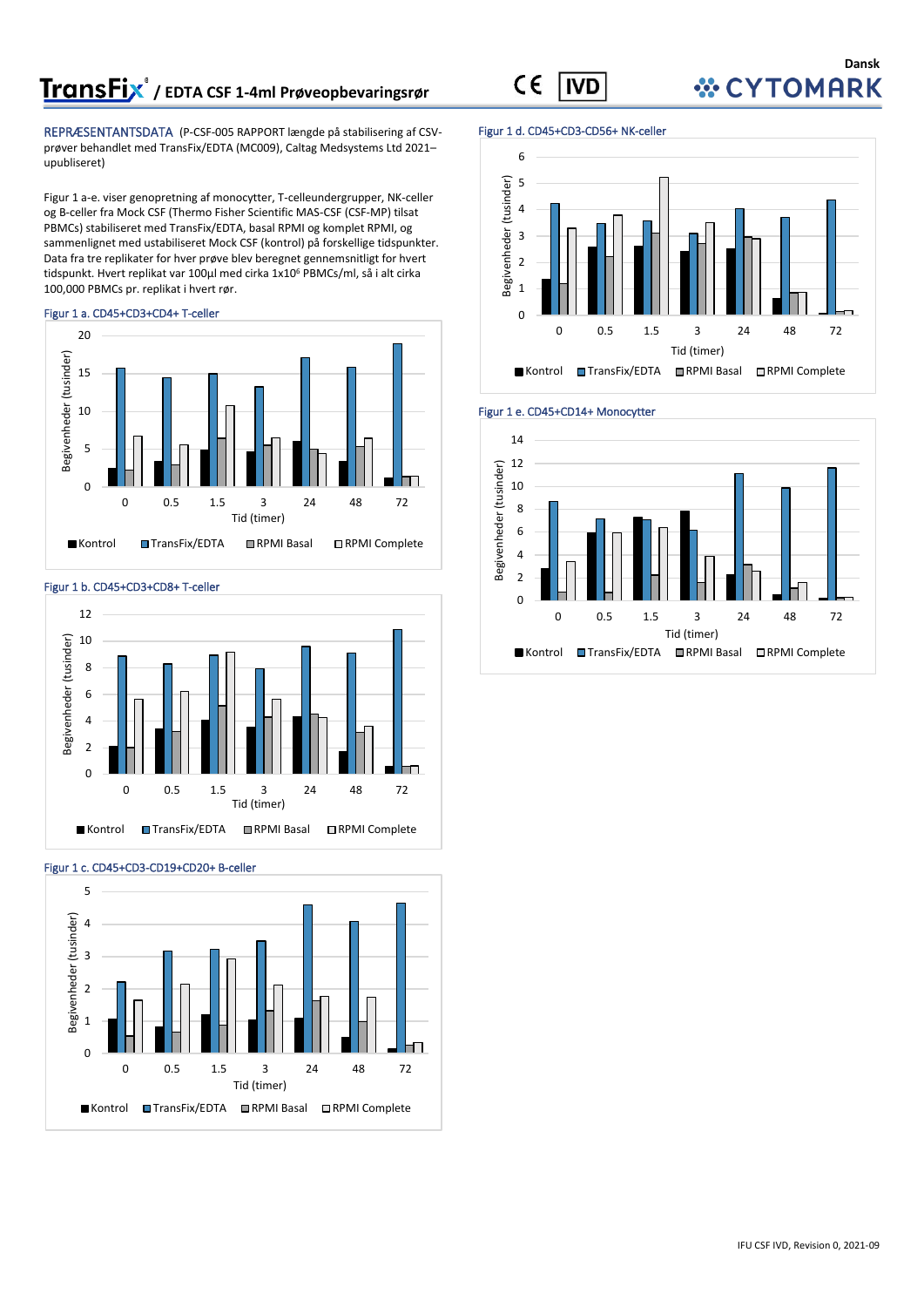# **/ EDTA CSF 1-4ml Prøveopbevaringsrør**

REPRÆSENTANTSDATA (P-CSF-005 RAPPORT længde på stabilisering af CSVprøver behandlet med TransFix/EDTA (MC009), Caltag Medsystems Ltd 2021– upubliseret)

Figur 1 a-e. viser genopretning af monocytter, T-celleundergrupper, NK-celler og B-celler fra Mock CSF (Thermo Fisher Scientific MAS-CSF (CSF-MP) tilsat PBMCs) stabiliseret med TransFix/EDTA, basal RPMI og komplet RPMI, og sammenlignet med ustabiliseret Mock CSF (kontrol) på forskellige tidspunkter. Data fra tre replikater for hver prøve blev beregnet gennemsnitligt for hvert tidspunkt. Hvert replikat var 100µl med cirka 1x10<sup>6</sup> PBMCs/ml, så i alt cirka 100,000 PBMCs pr. replikat i hvert rør.

#### Figur 1 a. CD45+CD3+CD4+ T-celler



#### Figur 1 b. CD45+CD3+CD8+ T-celler





#### Figur 1 c. CD45+CD3-CD19+CD20+ B-celler

#### Figur 1 d. CD45+CD3-CD56+ NK-celler

**IVD** 

 $C \in$ 





#### Figur 1 e. CD45+CD14+ Monocytter



### **Dansk WCYTOMARK**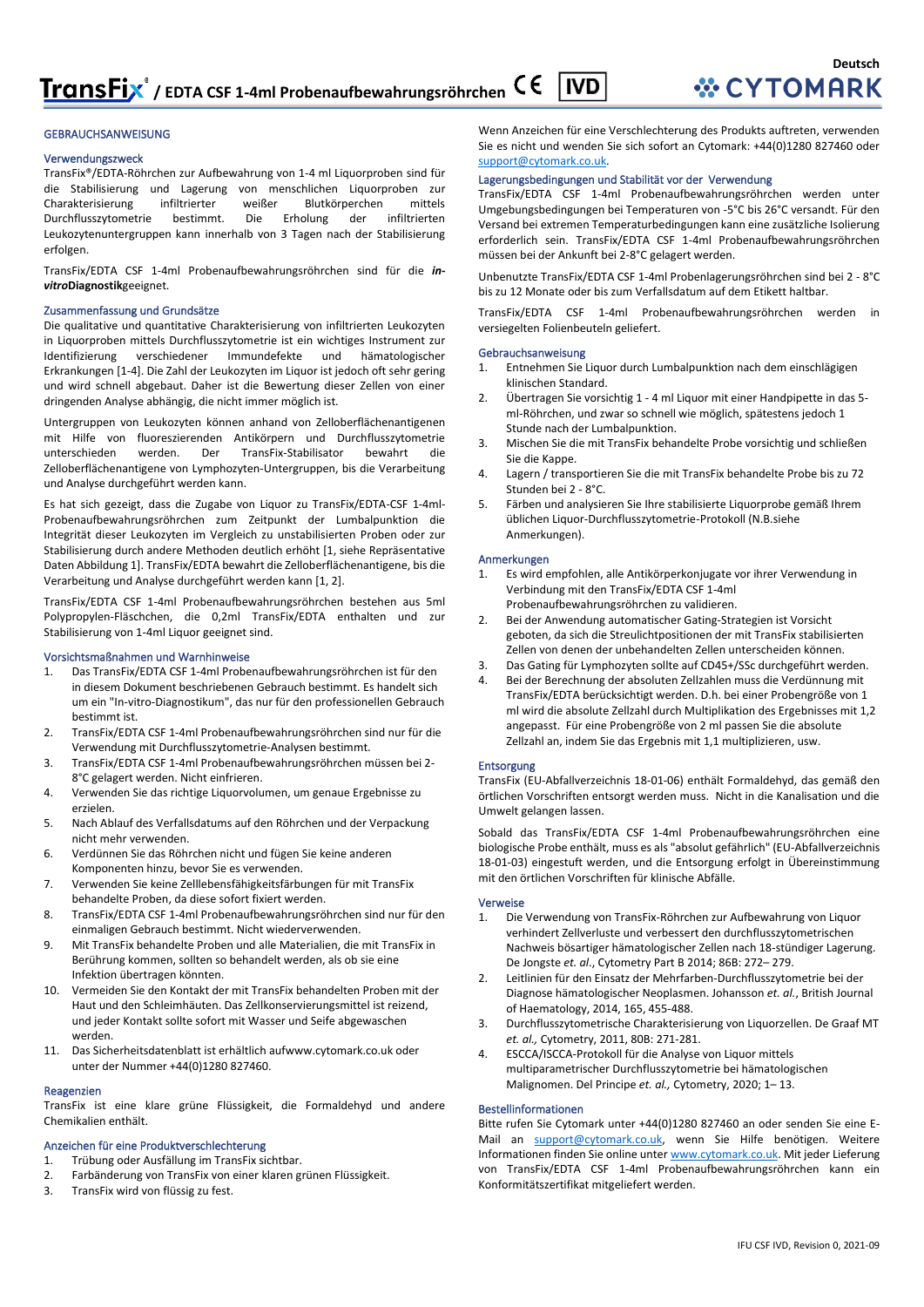#### GEBRAUCHSANWEISUNG

#### Verwendungszweck

TransFix®/EDTA-Röhrchen zur Aufbewahrung von 1-4 ml Liquorproben sind für die Stabilisierung und Lagerung von menschlichen Liquorproben zur Charakterisierung infiltrierter weißer Blutkörperchen mittels<br>Durchflusszytometrie bestimmt. Die Erholung der infiltrierten Durchflusszytometrie bestimmt. Die Erholung der infiltrierten Leukozytenuntergruppen kann innerhalb von 3 Tagen nach der Stabilisierung erfolgen.

TransFix/EDTA CSF 1-4ml Probenaufbewahrungsröhrchen sind für die *invitro***Diagnostik**geeignet.

#### Zusammenfassung und Grundsätze

Die qualitative und quantitative Charakterisierung von infiltrierten Leukozyten in Liquorproben mittels Durchflusszytometrie ist ein wichtiges Instrument zur Identifizierung verschiedener Immundefekte und hämatologischer Erkrankungen [1-4]. Die Zahl der Leukozyten im Liquor ist jedoch oft sehr gering und wird schnell abgebaut. Daher ist die Bewertung dieser Zellen von einer dringenden Analyse abhängig, die nicht immer möglich ist.

Untergruppen von Leukozyten können anhand von Zelloberflächenantigenen mit Hilfe von fluoreszierenden Antikörpern und Durchflusszytometrie unterschieden werden. Der TransFix-Stabilisator bewahrt die Zelloberflächenantigene von Lymphozyten-Untergruppen, bis die Verarbeitung und Analyse durchgeführt werden kann.

Es hat sich gezeigt, dass die Zugabe von Liquor zu TransFix/EDTA-CSF 1-4ml-Probenaufbewahrungsröhrchen zum Zeitpunkt der Lumbalpunktion die Integrität dieser Leukozyten im Vergleich zu unstabilisierten Proben oder zur Stabilisierung durch andere Methoden deutlich erhöht [1, siehe Repräsentative Daten Abbildung 1]. TransFix/EDTA bewahrt die Zelloberflächenantigene, bis die Verarbeitung und Analyse durchgeführt werden kann [1, 2].

TransFix/EDTA CSF 1-4ml Probenaufbewahrungsröhrchen bestehen aus 5ml Polypropylen-Fläschchen, die 0,2ml TransFix/EDTA enthalten und zur Stabilisierung von 1-4ml Liquor geeignet sind.

#### Vorsichtsmaßnahmen und Warnhinweise

- 1. Das TransFix/EDTA CSF 1-4ml Probenaufbewahrungsröhrchen ist für den in diesem Dokument beschriebenen Gebrauch bestimmt. Es handelt sich um ein "In-vitro-Diagnostikum", das nur für den professionellen Gebrauch bestimmt ist.
- 2. TransFix/EDTA CSF 1-4ml Probenaufbewahrungsröhrchen sind nur für die Verwendung mit Durchflusszytometrie-Analysen bestimmt.
- 3. TransFix/EDTA CSF 1-4ml Probenaufbewahrungsröhrchen müssen bei 2- 8°C gelagert werden. Nicht einfrieren.
- 4. Verwenden Sie das richtige Liquorvolumen, um genaue Ergebnisse zu erzielen.
- 5. Nach Ablauf des Verfallsdatums auf den Röhrchen und der Verpackung nicht mehr verwenden.
- 6. Verdünnen Sie das Röhrchen nicht und fügen Sie keine anderen Komponenten hinzu, bevor Sie es verwenden.
- 7. Verwenden Sie keine Zelllebensfähigkeitsfärbungen für mit TransFix behandelte Proben, da diese sofort fixiert werden.
- 8. TransFix/EDTA CSF 1-4ml Probenaufbewahrungsröhrchen sind nur für den einmaligen Gebrauch bestimmt. Nicht wiederverwenden.
- 9. Mit TransFix behandelte Proben und alle Materialien, die mit TransFix in Berührung kommen, sollten so behandelt werden, als ob sie eine Infektion übertragen könnten.
- 10. Vermeiden Sie den Kontakt der mit TransFix behandelten Proben mit der Haut und den Schleimhäuten. Das Zellkonservierungsmittel ist reizend, und jeder Kontakt sollte sofort mit Wasser und Seife abgewaschen werden.
- 11. Das Sicherheitsdatenblatt ist erhältlich au[fwww.cytomark.co.uk](http://www.cytomark.co.uk/) oder unter der Nummer +44(0)1280 827460.

#### Reagenzien

TransFix ist eine klare grüne Flüssigkeit, die Formaldehyd und andere Chemikalien enthält.

#### Anzeichen für eine Produktverschlechterung

- 1. Trübung oder Ausfällung im TransFix sichtbar.
- 2. Farbänderung von TransFix von einer klaren grünen Flüssigkeit.
- 3. TransFix wird von flüssig zu fest.

Wenn Anzeichen für eine Verschlechterung des Produkts auftreten, verwenden Sie es nicht und wenden Sie sich sofort an Cytomark: +44(0)1280 827460 oder [support@cytomark.co.uk.](mailto:cytomark@caltagmedsystems.co.uk) 

#### Lagerungsbedingungen und Stabilität vor der Verwendung

TransFix/EDTA CSF 1-4ml Probenaufbewahrungsröhrchen werden unter Umgebungsbedingungen bei Temperaturen von -5°C bis 26°C versandt. Für den Versand bei extremen Temperaturbedingungen kann eine zusätzliche Isolierung erforderlich sein. TransFix/EDTA CSF 1-4ml Probenaufbewahrungsröhrchen müssen bei der Ankunft bei 2-8°C gelagert werden.

Unbenutzte TransFix/EDTA CSF 1-4ml Probenlagerungsröhrchen sind bei 2 - 8°C bis zu 12 Monate oder bis zum Verfallsdatum auf dem Etikett haltbar.

TransFix/EDTA CSF 1-4ml Probenaufbewahrungsröhrchen werden in versiegelten Folienbeuteln geliefert.

#### Gebrauchsanweisung

- 1. Entnehmen Sie Liquor durch Lumbalpunktion nach dem einschlägigen klinischen Standard.
- 2. Übertragen Sie vorsichtig 1 4 ml Liquor mit einer Handpipette in das 5 ml-Röhrchen, und zwar so schnell wie möglich, spätestens jedoch 1 Stunde nach der Lumbalpunktion.
- 3. Mischen Sie die mit TransFix behandelte Probe vorsichtig und schließen Sie die Kappe.
- 4. Lagern / transportieren Sie die mit TransFix behandelte Probe bis zu 72 Stunden bei 2 - 8°C.
- 5. Färben und analysieren Sie Ihre stabilisierte Liquorprobe gemäß Ihrem üblichen Liquor-Durchflusszytometrie-Protokoll (N.B.siehe Anmerkungen).

#### Anmerkungen

- 1. Es wird empfohlen, alle Antikörperkonjugate vor ihrer Verwendung in Verbindung mit den TransFix/EDTA CSF 1-4ml Probenaufbewahrungsröhrchen zu validieren.
- 2. Bei der Anwendung automatischer Gating-Strategien ist Vorsicht geboten, da sich die Streulichtpositionen der mit TransFix stabilisierten Zellen von denen der unbehandelten Zellen unterscheiden können.
- 3. Das Gating für Lymphozyten sollte auf CD45+/SSc durchgeführt werden.
- 4. Bei der Berechnung der absoluten Zellzahlen muss die Verdünnung mit TransFix/EDTA berücksichtigt werden. D.h. bei einer Probengröße von 1 ml wird die absolute Zellzahl durch Multiplikation des Ergebnisses mit 1,2 angepasst. Für eine Probengröße von 2 ml passen Sie die absolute Zellzahl an, indem Sie das Ergebnis mit 1,1 multiplizieren, usw.

#### **Entsorgung**

TransFix (EU-Abfallverzeichnis 18-01-06) enthält Formaldehyd, das gemäß den örtlichen Vorschriften entsorgt werden muss. Nicht in die Kanalisation und die Umwelt gelangen lassen.

Sobald das TransFix/EDTA CSF 1-4ml Probenaufbewahrungsröhrchen eine biologische Probe enthält, muss es als "absolut gefährlich" (EU-Abfallverzeichnis 18-01-03) eingestuft werden, und die Entsorgung erfolgt in Übereinstimmung mit den örtlichen Vorschriften für klinische Abfälle.

#### Verweise

- 1. Die Verwendung von TransFix-Röhrchen zur Aufbewahrung von Liquor verhindert Zellverluste und verbessert den durchflusszytometrischen Nachweis bösartiger hämatologischer Zellen nach 18-stündiger Lagerung. De Jongste *et. al*., Cytometry Part B 2014; 86B: 272– 279.
- 2. Leitlinien für den Einsatz der Mehrfarben-Durchflusszytometrie bei der Diagnose hämatologischer Neoplasmen. Johansson *et. al.*, British Journal of Haematology, 2014, 165, 455-488.
- 3. Durchflusszytometrische Charakterisierung von Liquorzellen. De Graaf MT *et. al.,* Cytometry, 2011, 80B: 271-281.
- 4. ESCCA/ISCCA-Protokoll für die Analyse von Liquor mittels multiparametrischer Durchflusszytometrie bei hämatologischen Malignomen. Del Principe *et. al.,* Cytometry, 2020; 1– 13.

#### Bestellinformationen

Bitte rufen Sie Cytomark unter +44(0)1280 827460 an oder senden Sie eine E-Mail an [support@cytomark.co.uk,](mailto:cytomark@caltagmedsystems.co.uk) wenn Sie Hilfe benötigen. Weitere Informationen finden Sie online unte[r www.cytomark.co.uk.](http://www.cytomark.co.uk/) Mit jeder Lieferung von TransFix/EDTA CSF 1-4ml Probenaufbewahrungsröhrchen kann ein Konformitätszertifikat mitgeliefert werden.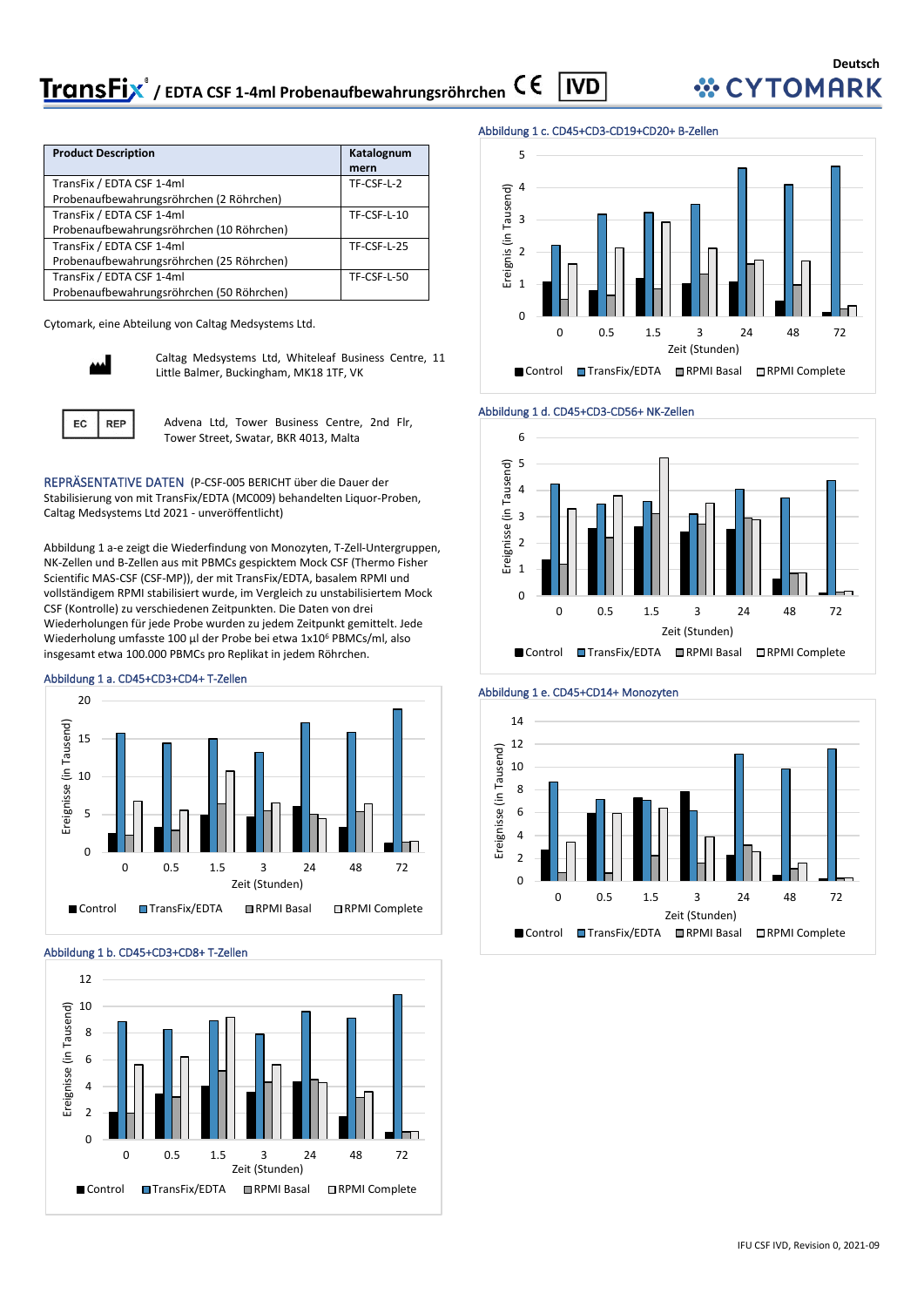| <b>ransFix</b> ® / EDTA CSF 1-4ml Probenaufbewahrungsröhrchen C E   IVD |  |
|-------------------------------------------------------------------------|--|
|                                                                         |  |

| <b>Product Description</b>                | Katalognum  |
|-------------------------------------------|-------------|
|                                           | mern        |
| TransFix / EDTA CSF 1-4ml                 | TF-CSF-L-2  |
| Probenaufbewahrungsröhrchen (2 Röhrchen)  |             |
| TransFix / EDTA CSF 1-4ml                 | TF-CSF-L-10 |
| Probenaufbewahrungsröhrchen (10 Röhrchen) |             |
| TransFix / EDTA CSF 1-4ml                 | TF-CSF-L-25 |
| Probenaufbewahrungsröhrchen (25 Röhrchen) |             |
| TransFix / EDTA CSF 1-4ml                 | TF-CSF-L-50 |
| Probenaufbewahrungsröhrchen (50 Röhrchen) |             |

Cytomark, eine Abteilung von Caltag Medsystems Ltd.



Caltag Medsystems Ltd, Whiteleaf Business Centre, 11 Little Balmer, Buckingham, MK18 1TF, VK

Advena Ltd, Tower Business Centre, 2nd Flr, Tower Street, Swatar, BKR 4013, Malta

REPRÄSENTATIVE DATEN (P-CSF-005 BERICHT über die Dauer der Stabilisierung von mit TransFix/EDTA (MC009) behandelten Liquor-Proben, Caltag Medsystems Ltd 2021 - unveröffentlicht)

Abbildung 1 a-e zeigt die Wiederfindung von Monozyten, T-Zell-Untergruppen, NK-Zellen und B-Zellen aus mit PBMCs gespicktem Mock CSF (Thermo Fisher Scientific MAS-CSF (CSF-MP)), der mit TransFix/EDTA, basalem RPMI und vollständigem RPMI stabilisiert wurde, im Vergleich zu unstabilisiertem Mock CSF (Kontrolle) zu verschiedenen Zeitpunkten. Die Daten von drei Wiederholungen für jede Probe wurden zu jedem Zeitpunkt gemittelt. Jede Wiederholung umfasste 100 µl der Probe bei etwa 1x10<sup>6</sup> PBMCs/ml, also insgesamt etwa 100.000 PBMCs pro Replikat in jedem Röhrchen.

#### Abbildung 1 a. CD45+CD3+CD4+ T-Zellen



Abbildung 1 b. CD45+CD3+CD8+ T-Zellen



#### Abbildung 1 c. CD45+CD3-CD19+CD20+ B-Zellen









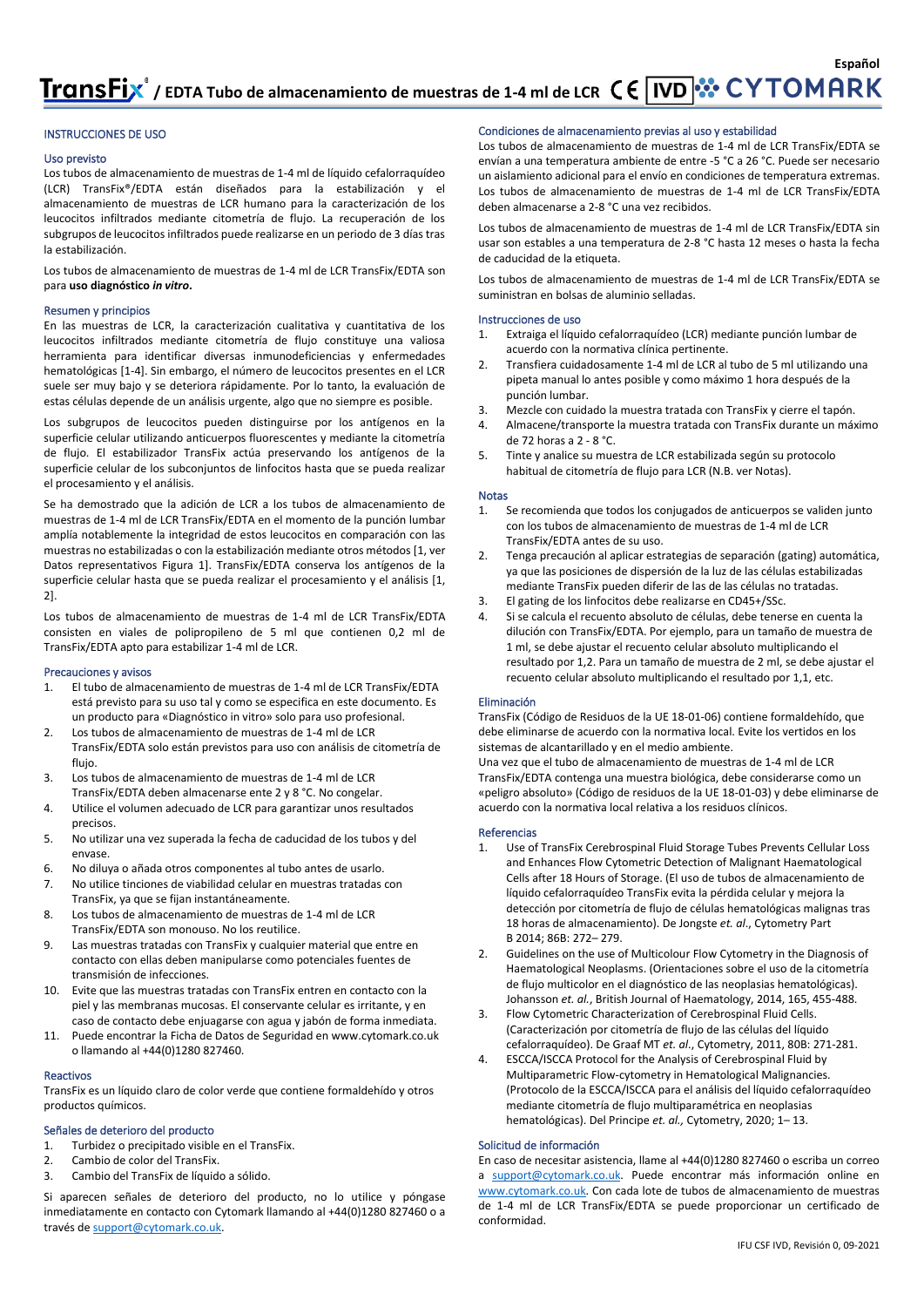#### INSTRUCCIONES DE USO

#### Uso previsto

Los tubos de almacenamiento de muestras de 1-4 ml de líquido cefalorraquídeo (LCR) TransFix®/EDTA están diseñados para la estabilización y el almacenamiento de muestras de LCR humano para la caracterización de los leucocitos infiltrados mediante citometría de flujo. La recuperación de los subgrupos de leucocitos infiltrados puede realizarse en un periodo de 3 días tras la estabilización.

Los tubos de almacenamiento de muestras de 1-4 ml de LCR TransFix/EDTA son para **uso diagnóstico** *in vitro***.**

#### Resumen y principios

En las muestras de LCR, la caracterización cualitativa y cuantitativa de los leucocitos infiltrados mediante citometría de flujo constituye una valiosa herramienta para identificar diversas inmunodeficiencias y enfermedades hematológicas [1-4]. Sin embargo, el número de leucocitos presentes en el LCR suele ser muy bajo y se deteriora rápidamente. Por lo tanto, la evaluación de estas células depende de un análisis urgente, algo que no siempre es posible.

Los subgrupos de leucocitos pueden distinguirse por los antígenos en la superficie celular utilizando anticuerpos fluorescentes y mediante la citometría de flujo. El estabilizador TransFix actúa preservando los antígenos de la superficie celular de los subconjuntos de linfocitos hasta que se pueda realizar el procesamiento y el análisis.

Se ha demostrado que la adición de LCR a los tubos de almacenamiento de muestras de 1-4 ml de LCR TransFix/EDTA en el momento de la punción lumbar amplía notablemente la integridad de estos leucocitos en comparación con las muestras no estabilizadas o con la estabilización mediante otros métodos [1, ver Datos representativos Figura 1]. TransFix/EDTA conserva los antígenos de la superficie celular hasta que se pueda realizar el procesamiento y el análisis [1, 2].

Los tubos de almacenamiento de muestras de 1-4 ml de LCR TransFix/EDTA consisten en viales de polipropileno de 5 ml que contienen 0,2 ml de TransFix/EDTA apto para estabilizar 1-4 ml de LCR.

#### Precauciones y avisos

- 1. El tubo de almacenamiento de muestras de 1-4 ml de LCR TransFix/EDTA está previsto para su uso tal y como se especifica en este documento. Es un producto para «Diagnóstico in vitro» solo para uso profesional.
- 2. Los tubos de almacenamiento de muestras de 1-4 ml de LCR TransFix/EDTA solo están previstos para uso con análisis de citometría de flujo.
- 3. Los tubos de almacenamiento de muestras de 1-4 ml de LCR TransFix/EDTA deben almacenarse ente 2 y 8 °C. No congelar.
- 4. Utilice el volumen adecuado de LCR para garantizar unos resultados precisos.
- 5. No utilizar una vez superada la fecha de caducidad de los tubos y del envase.
- 6. No diluya o añada otros componentes al tubo antes de usarlo. 7. No utilice tinciones de viabilidad celular en muestras tratadas con
- TransFix, ya que se fijan instantáneamente.
- 8. Los tubos de almacenamiento de muestras de 1-4 ml de LCR TransFix/EDTA son monouso. No los reutilice.
- 9. Las muestras tratadas con TransFix y cualquier material que entre en contacto con ellas deben manipularse como potenciales fuentes de transmisión de infecciones.
- 10. Evite que las muestras tratadas con TransFix entren en contacto con la piel y las membranas mucosas. El conservante celular es irritante, y en caso de contacto debe enjuagarse con agua y jabón de forma inmediata.
- 11. Puede encontrar la Ficha de Datos de Seguridad e[n www.cytomark.co.uk](http://www.cytomark.co.uk/) o llamando al +44(0)1280 827460.

#### Reactivos

TransFix es un líquido claro de color verde que contiene formaldehído y otros productos químicos.

#### Señales de deterioro del producto

- 1. Turbidez o precipitado visible en el TransFix.
- 2. Cambio de color del TransFix.
- 3. Cambio del TransFix de líquido a sólido.

Si aparecen señales de deterioro del producto, no lo utilice y póngase inmediatamente en contacto con Cytomark llamando al +44(0)1280 827460 o a través d[e support@cytomark.co.uk.](mailto:cytomark@caltagmedsystems.co.uk)

#### Condiciones de almacenamiento previas al uso y estabilidad

Los tubos de almacenamiento de muestras de 1-4 ml de LCR TransFix/EDTA se envían a una temperatura ambiente de entre -5 °C a 26 °C. Puede ser necesario un aislamiento adicional para el envío en condiciones de temperatura extremas. Los tubos de almacenamiento de muestras de 1-4 ml de LCR TransFix/EDTA deben almacenarse a 2-8 °C una vez recibidos.

Los tubos de almacenamiento de muestras de 1-4 ml de LCR TransFix/EDTA sin usar son estables a una temperatura de 2-8 °C hasta 12 meses o hasta la fecha de caducidad de la etiqueta.

Los tubos de almacenamiento de muestras de 1-4 ml de LCR TransFix/EDTA se suministran en bolsas de aluminio selladas.

#### Instrucciones de uso

- 1. Extraiga el líquido cefalorraquídeo (LCR) mediante punción lumbar de acuerdo con la normativa clínica pertinente.
- 2. Transfiera cuidadosamente 1-4 ml de LCR al tubo de 5 ml utilizando una pipeta manual lo antes posible y como máximo 1 hora después de la punción lumbar.
- 3. Mezcle con cuidado la muestra tratada con TransFix y cierre el tapón.
- 4. Almacene/transporte la muestra tratada con TransFix durante un máximo de 72 horas a 2 - 8 °C.
- 5. Tinte y analice su muestra de LCR estabilizada según su protocolo habitual de citometría de flujo para LCR (N.B. ver Notas).

#### Notas

- 1. Se recomienda que todos los conjugados de anticuerpos se validen junto con los tubos de almacenamiento de muestras de 1-4 ml de LCR TransFix/EDTA antes de su uso.
- 2. Tenga precaución al aplicar estrategias de separación (gating) automática, ya que las posiciones de dispersión de la luz de las células estabilizadas mediante TransFix pueden diferir de las de las células no tratadas.
- 3. El gating de los linfocitos debe realizarse en CD45+/SSc.
- 4. Si se calcula el recuento absoluto de células, debe tenerse en cuenta la dilución con TransFix/EDTA. Por ejemplo, para un tamaño de muestra de 1 ml, se debe ajustar el recuento celular absoluto multiplicando el resultado por 1,2. Para un tamaño de muestra de 2 ml, se debe ajustar el recuento celular absoluto multiplicando el resultado por 1,1, etc.

#### Eliminación

TransFix (Código de Residuos de la UE 18-01-06) contiene formaldehído, que debe eliminarse de acuerdo con la normativa local. Evite los vertidos en los sistemas de alcantarillado y en el medio ambiente.

Una vez que el tubo de almacenamiento de muestras de 1-4 ml de LCR TransFix/EDTA contenga una muestra biológica, debe considerarse como un «peligro absoluto» (Código de residuos de la UE 18-01-03) y debe eliminarse de acuerdo con la normativa local relativa a los residuos clínicos.

#### Referencias

- 1. Use of TransFix Cerebrospinal Fluid Storage Tubes Prevents Cellular Loss and Enhances Flow Cytometric Detection of Malignant Haematological Cells after 18 Hours of Storage. (El uso de tubos de almacenamiento de líquido cefalorraquídeo TransFix evita la pérdida celular y mejora la detección por citometría de flujo de células hematológicas malignas tras 18 horas de almacenamiento). De Jongste *et. al*., Cytometry Part B 2014; 86B: 272– 279.
- 2. Guidelines on the use of Multicolour Flow Cytometry in the Diagnosis of Haematological Neoplasms. (Orientaciones sobre el uso de la citometría de flujo multicolor en el diagnóstico de las neoplasias hematológicas). Johansson *et. al.*, British Journal of Haematology, 2014, 165, 455-488.
- 3. Flow Cytometric Characterization of Cerebrospinal Fluid Cells. (Caracterización por citometría de flujo de las células del líquido cefalorraquídeo). De Graaf MT *et. al*., Cytometry, 2011, 80B: 271-281.
- 4. ESCCA/ISCCA Protocol for the Analysis of Cerebrospinal Fluid by Multiparametric Flow‐cytometry in Hematological Malignancies. (Protocolo de la ESCCA/ISCCA para el análisis del líquido cefalorraquídeo mediante citometría de flujo multiparamétrica en neoplasias hematológicas). Del Principe *et. al.,* Cytometry, 2020; 1– 13.

#### Solicitud de información

En caso de necesitar asistencia, llame al +44(0)1280 827460 o escriba un correo a [support@cytomark.co.uk.](mailto:cytomark@caltagmedsystems.co.uk) Puede encontrar más información online en [www.cytomark.co.uk.](http://www.cytomark.co.uk/) Con cada lote de tubos de almacenamiento de muestras de 1-4 ml de LCR TransFix/EDTA se puede proporcionar un certificado de conformidad.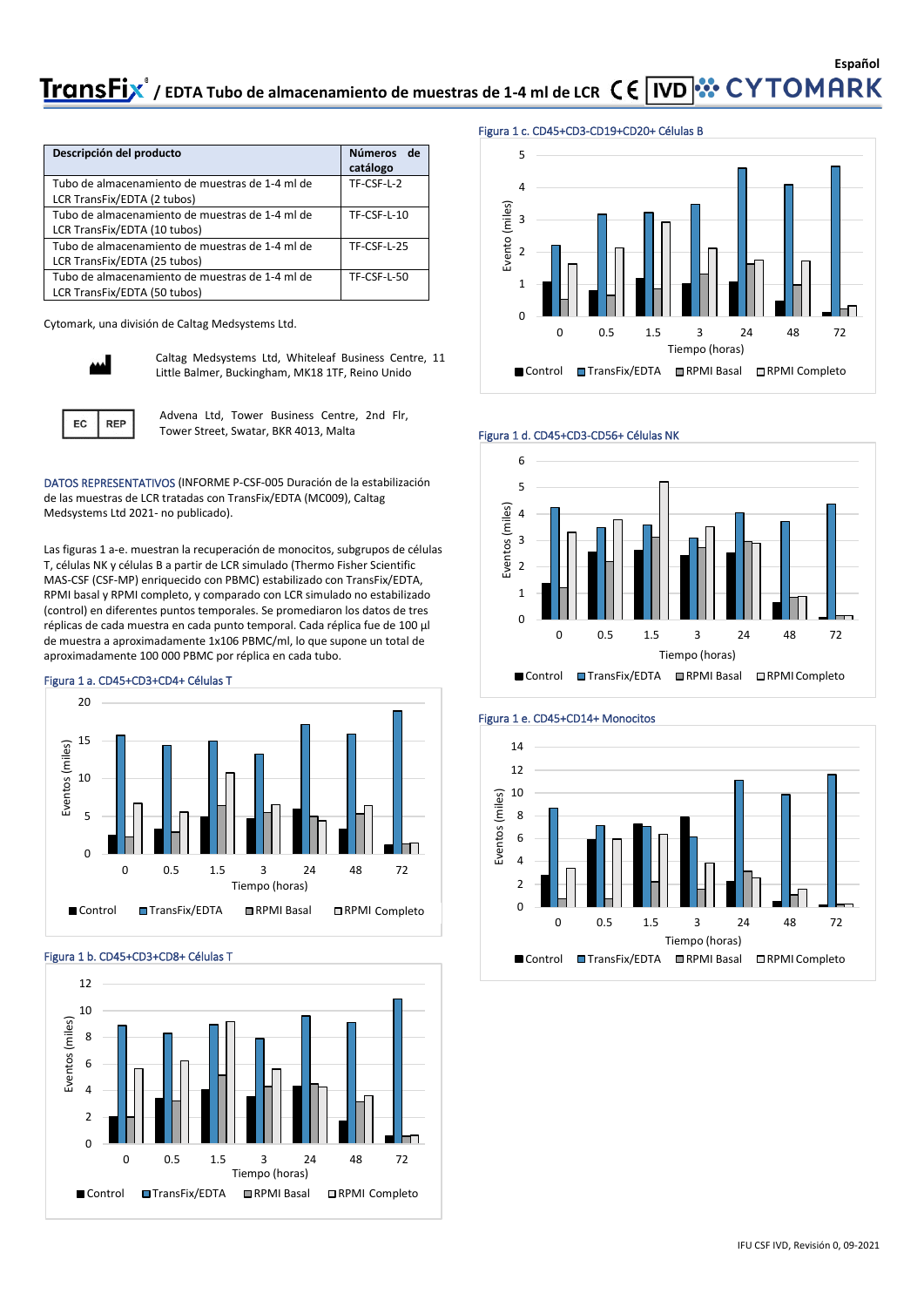## **Español** TransFix<sup>®</sup> / EDTA Tubo de almacenamiento de muestras de 1-4 ml de LCR  $\zeta \in \overline{IVD}$  :  $\cdot \cdot \cdot$  CYTOMARK

| Descripción del producto                                                        | <b>Números</b><br>de<br>catálogo |
|---------------------------------------------------------------------------------|----------------------------------|
| Tubo de almacenamiento de muestras de 1-4 ml de<br>LCR TransFix/EDTA (2 tubos)  | TF-CSF-L-2                       |
| Tubo de almacenamiento de muestras de 1-4 ml de                                 | TF-CSF-L-10                      |
| LCR TransFix/EDTA (10 tubos)                                                    |                                  |
| Tubo de almacenamiento de muestras de 1-4 ml de<br>LCR TransFix/EDTA (25 tubos) | <b>TF-CSF-L-25</b>               |
| Tubo de almacenamiento de muestras de 1-4 ml de                                 | TF-CSF-L-50                      |
| LCR TransFix/EDTA (50 tubos)                                                    |                                  |

Cytomark, una división de Caltag Medsystems Ltd.



**REP** 

EC

Caltag Medsystems Ltd, Whiteleaf Business Centre, 11 Little Balmer, Buckingham, MK18 1TF, Reino Unido

Advena Ltd, Tower Business Centre, 2nd Flr, Tower Street, Swatar, BKR 4013, Malta

DATOS REPRESENTATIVOS (INFORME P-CSF-005 Duración de la estabilización de las muestras de LCR tratadas con TransFix/EDTA (MC009), Caltag Medsystems Ltd 2021- no publicado).

Las figuras 1 a-e. muestran la recuperación de monocitos, subgrupos de células T, células NK y células B a partir de LCR simulado (Thermo Fisher Scientific MAS-CSF (CSF-MP) enriquecido con PBMC) estabilizado con TransFix/EDTA, RPMI basal y RPMI completo, y comparado con LCR simulado no estabilizado (control) en diferentes puntos temporales. Se promediaron los datos de tres réplicas de cada muestra en cada punto temporal. Cada réplica fue de 100 µl de muestra a aproximadamente 1x106 PBMC/ml, lo que supone un total de aproximadamente 100 000 PBMC por réplica en cada tubo.

#### Figura 1 a. CD45+CD3+CD4+ Células T



Figura 1 b. CD45+CD3+CD8+ Células T



#### Figura 1 c. CD45+CD3-CD19+CD20+ Células B







#### Figura 1 e. CD45+CD14+ Monocitos

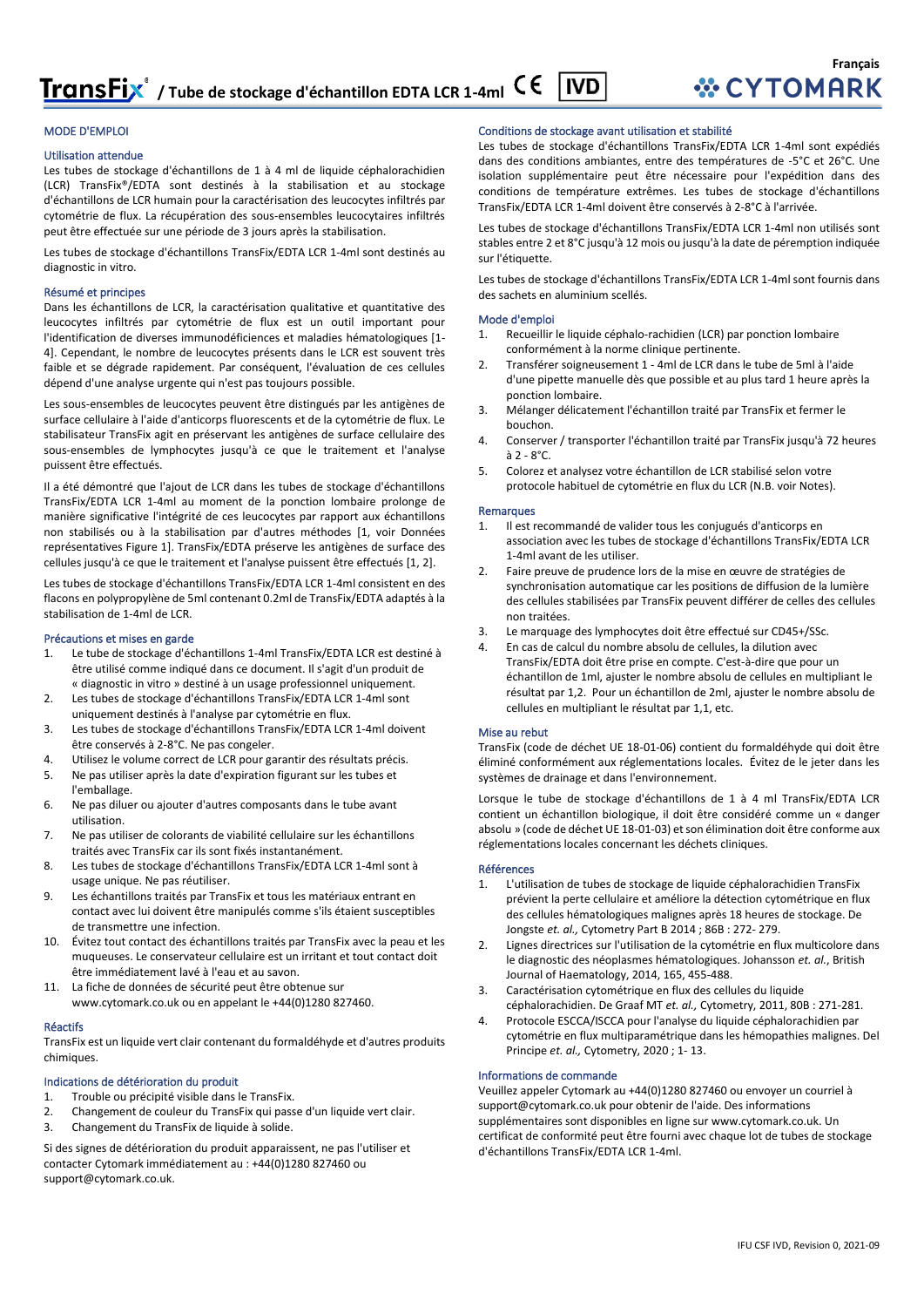#### MODE D'EMPLOI

#### Utilisation attendue

Les tubes de stockage d'échantillons de 1 à 4 ml de liquide céphalorachidien (LCR) TransFix®/EDTA sont destinés à la stabilisation et au stockage d'échantillons de LCR humain pour la caractérisation des leucocytes infiltrés par cytométrie de flux. La récupération des sous-ensembles leucocytaires infiltrés peut être effectuée sur une période de 3 jours après la stabilisation.

Les tubes de stockage d'échantillons TransFix/EDTA LCR 1-4ml sont destinés au diagnostic in vitro.

#### Résumé et principes

Dans les échantillons de LCR, la caractérisation qualitative et quantitative des leucocytes infiltrés par cytométrie de flux est un outil important pour l'identification de diverses immunodéficiences et maladies hématologiques [1- 4]. Cependant, le nombre de leucocytes présents dans le LCR est souvent très faible et se dégrade rapidement. Par conséquent, l'évaluation de ces cellules dépend d'une analyse urgente qui n'est pas toujours possible.

Les sous-ensembles de leucocytes peuvent être distingués par les antigènes de surface cellulaire à l'aide d'anticorps fluorescents et de la cytométrie de flux. Le stabilisateur TransFix agit en préservant les antigènes de surface cellulaire des sous-ensembles de lymphocytes jusqu'à ce que le traitement et l'analyse puissent être effectués.

Il a été démontré que l'ajout de LCR dans les tubes de stockage d'échantillons TransFix/EDTA LCR 1-4ml au moment de la ponction lombaire prolonge de manière significative l'intégrité de ces leucocytes par rapport aux échantillons non stabilisés ou à la stabilisation par d'autres méthodes [1, voir Données représentatives Figure 1]. TransFix/EDTA préserve les antigènes de surface des cellules jusqu'à ce que le traitement et l'analyse puissent être effectués [1, 2].

Les tubes de stockage d'échantillons TransFix/EDTA LCR 1-4ml consistent en des flacons en polypropylène de 5ml contenant 0.2ml de TransFix/EDTA adaptés à la stabilisation de 1-4ml de LCR.

#### Précautions et mises en garde

- 1. Le tube de stockage d'échantillons 1-4ml TransFix/EDTA LCR est destiné à être utilisé comme indiqué dans ce document. Il s'agit d'un produit de « diagnostic in vitro » destiné à un usage professionnel uniquement.
- 2. Les tubes de stockage d'échantillons TransFix/EDTA LCR 1-4ml sont uniquement destinés à l'analyse par cytométrie en flux.
- 3. Les tubes de stockage d'échantillons TransFix/EDTA LCR 1-4ml doivent être conservés à 2-8°C. Ne pas congeler.
- 4. Utilisez le volume correct de LCR pour garantir des résultats précis.
- 5. Ne pas utiliser après la date d'expiration figurant sur les tubes et l'emballage.
- 6. Ne pas diluer ou ajouter d'autres composants dans le tube avant utilisation.
- 7. Ne pas utiliser de colorants de viabilité cellulaire sur les échantillons traités avec TransFix car ils sont fixés instantanément.
- 8. Les tubes de stockage d'échantillons TransFix/EDTA LCR 1-4ml sont à usage unique. Ne pas réutiliser.
- 9. Les échantillons traités par TransFix et tous les matériaux entrant en contact avec lui doivent être manipulés comme s'ils étaient susceptibles de transmettre une infection.
- 10. Évitez tout contact des échantillons traités par TransFix avec la peau et les muqueuses. Le conservateur cellulaire est un irritant et tout contact doit être immédiatement lavé à l'eau et au savon.
- 11. La fiche de données de sécurité peut être obtenue sur www.cytomark.co.uk ou en appelant le +44(0)1280 827460.

#### Réactifs

TransFix est un liquide vert clair contenant du formaldéhyde et d'autres produits chimiques.

#### Indications de détérioration du produit

- 1. Trouble ou précipité visible dans le TransFix.
- 2. Changement de couleur du TransFix qui passe d'un liquide vert clair.
- 3. Changement du TransFix de liquide à solide.

Si des signes de détérioration du produit apparaissent, ne pas l'utiliser et contacter Cytomark immédiatement au : +44(0)1280 827460 ou support@cytomark.co.uk.

#### Conditions de stockage avant utilisation et stabilité

Les tubes de stockage d'échantillons TransFix/EDTA LCR 1-4ml sont expédiés dans des conditions ambiantes, entre des températures de -5°C et 26°C. Une isolation supplémentaire peut être nécessaire pour l'expédition dans des conditions de température extrêmes. Les tubes de stockage d'échantillons TransFix/EDTA LCR 1-4ml doivent être conservés à 2-8°C à l'arrivée.

Les tubes de stockage d'échantillons TransFix/EDTA LCR 1-4ml non utilisés sont stables entre 2 et 8°C jusqu'à 12 mois ou jusqu'à la date de péremption indiquée sur l'étiquette.

Les tubes de stockage d'échantillons TransFix/EDTA LCR 1-4ml sont fournis dans des sachets en aluminium scellés.

#### Mode d'emploi

- Recueillir le liquide céphalo-rachidien (LCR) par ponction lombaire conformément à la norme clinique pertinente.
- 2. Transférer soigneusement 1 4ml de LCR dans le tube de 5ml à l'aide d'une pipette manuelle dès que possible et au plus tard 1 heure après la ponction lombaire.
- 3. Mélanger délicatement l'échantillon traité par TransFix et fermer le bouchon.
- 4. Conserver / transporter l'échantillon traité par TransFix jusqu'à 72 heures  $\lambda$  2 -  $8^{\circ}$ C.
- 5. Colorez et analysez votre échantillon de LCR stabilisé selon votre protocole habituel de cytométrie en flux du LCR (N.B. voir Notes).

#### **Remarques**

- Il est recommandé de valider tous les conjugués d'anticorps en association avec les tubes de stockage d'échantillons TransFix/EDTA LCR 1-4ml avant de les utiliser.
- 2. Faire preuve de prudence lors de la mise en œuvre de stratégies de synchronisation automatique car les positions de diffusion de la lumière des cellules stabilisées par TransFix peuvent différer de celles des cellules non traitées.
- Le marquage des lymphocytes doit être effectué sur CD45+/SSc.
- 4. En cas de calcul du nombre absolu de cellules, la dilution avec TransFix/EDTA doit être prise en compte. C'est-à-dire que pour un échantillon de 1ml, ajuster le nombre absolu de cellules en multipliant le résultat par 1,2. Pour un échantillon de 2ml, ajuster le nombre absolu de cellules en multipliant le résultat par 1,1, etc.

#### Mise au rebut

TransFix (code de déchet UE 18-01-06) contient du formaldéhyde qui doit être éliminé conformément aux réglementations locales. Évitez de le jeter dans les systèmes de drainage et dans l'environnement.

Lorsque le tube de stockage d'échantillons de 1 à 4 ml TransFix/EDTA LCR contient un échantillon biologique, il doit être considéré comme un « danger absolu » (code de déchet UE 18-01-03) et son élimination doit être conforme aux réglementations locales concernant les déchets cliniques.

#### Références

- 1. L'utilisation de tubes de stockage de liquide céphalorachidien TransFix prévient la perte cellulaire et améliore la détection cytométrique en flux des cellules hématologiques malignes après 18 heures de stockage. De Jongste *et. al.,* Cytometry Part B 2014 ; 86B : 272- 279.
- 2. Lignes directrices sur l'utilisation de la cytométrie en flux multicolore dans le diagnostic des néoplasmes hématologiques. Johansson *et. al.*, British Journal of Haematology, 2014, 165, 455-488.
- 3. Caractérisation cytométrique en flux des cellules du liquide céphalorachidien. De Graaf MT *et. al.,* Cytometry, 2011, 80B : 271-281.
- 4. Protocole ESCCA/ISCCA pour l'analyse du liquide céphalorachidien par cytométrie en flux multiparamétrique dans les hémopathies malignes. Del Principe *et. al.,* Cytometry, 2020 ; 1- 13.

#### Informations de commande

Veuillez appeler Cytomark au +44(0)1280 827460 ou envoyer un courriel à support@cytomark.co.uk pour obtenir de l'aide. Des informations supplémentaires sont disponibles en ligne sur www.cytomark.co.uk. Un certificat de conformité peut être fourni avec chaque lot de tubes de stockage d'échantillons TransFix/EDTA LCR 1-4ml.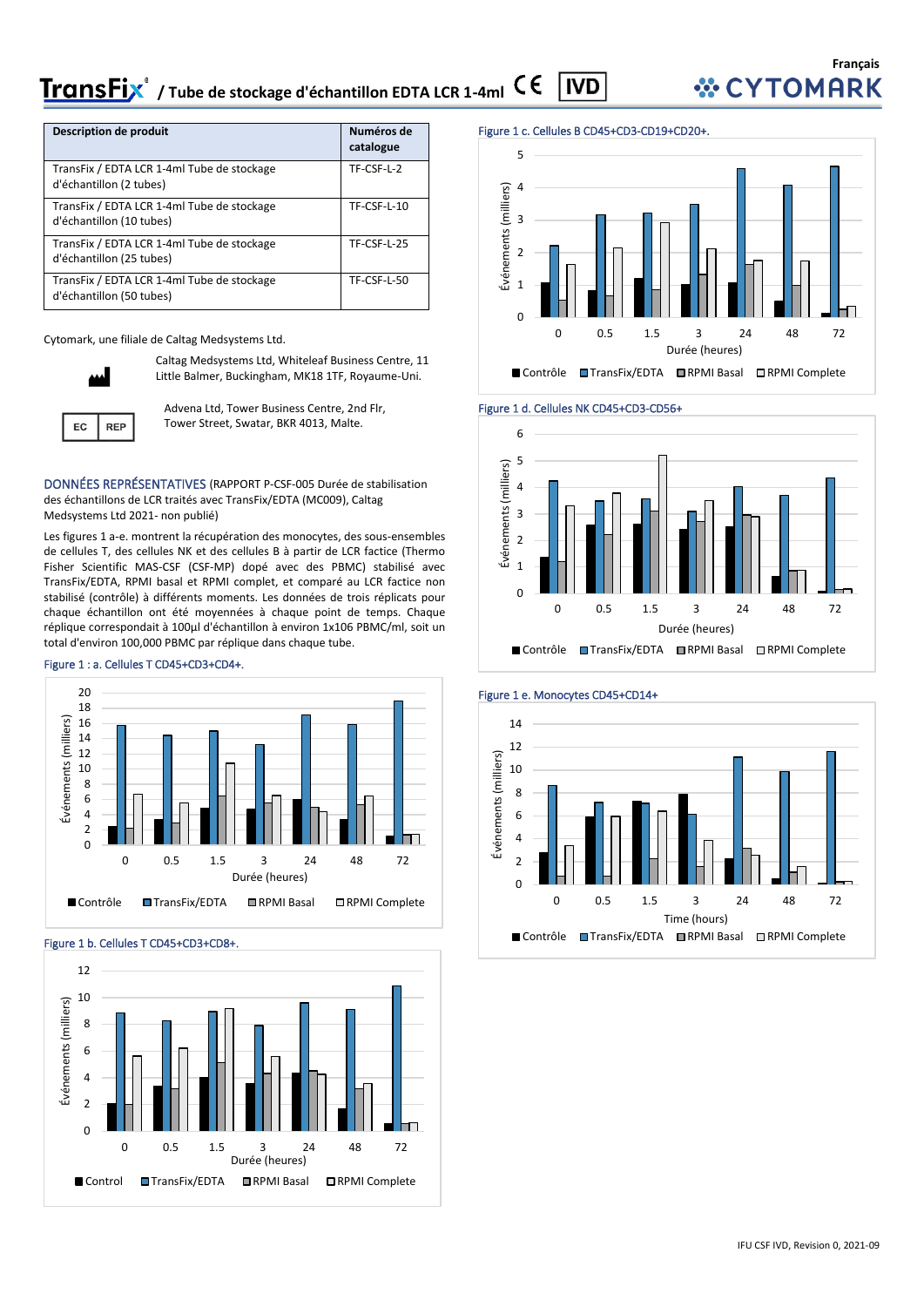#### **TransFix**<sup>\*</sup> / Tube de stockage d'échantillon EDTA LCR 1-4ml CE **IVD**

| Description de produit                                                 | Numéros de<br>catalogue |
|------------------------------------------------------------------------|-------------------------|
| TransFix / EDTA LCR 1-4ml Tube de stockage<br>d'échantillon (2 tubes)  | TF-CSF-L-2              |
| TransFix / EDTA LCR 1-4ml Tube de stockage<br>d'échantillon (10 tubes) | TF-CSF-L-10             |
| TransFix / EDTA LCR 1-4ml Tube de stockage<br>d'échantillon (25 tubes) | TF-CSF-L-25             |
| TransFix / EDTA LCR 1-4ml Tube de stockage<br>d'échantillon (50 tubes) | TF-CSF-L-50             |

Cytomark, une filiale de Caltag Medsystems Ltd.



**REP** 

EC

Caltag Medsystems Ltd, Whiteleaf Business Centre, 11 Little Balmer, Buckingham, MK18 1TF, Royaume-Uni.

Advena Ltd, Tower Business Centre, 2nd Flr, Tower Street, Swatar, BKR 4013, Malte.

DONNÉES REPRÉSENTATIVES (RAPPORT P-CSF-005 Durée de stabilisation des échantillons de LCR traités avec TransFix/EDTA (MC009), Caltag Medsystems Ltd 2021- non publié)

Les figures 1 a-e. montrent la récupération des monocytes, des sous-ensembles de cellules T, des cellules NK et des cellules B à partir de LCR factice (Thermo Fisher Scientific MAS-CSF (CSF-MP) dopé avec des PBMC) stabilisé avec TransFix/EDTA, RPMI basal et RPMI complet, et comparé au LCR factice non stabilisé (contrôle) à différents moments. Les données de trois réplicats pour chaque échantillon ont été moyennées à chaque point de temps. Chaque réplique correspondait à 100µl d'échantillon à environ 1x106 PBMC/ml, soit un total d'environ 100,000 PBMC par réplique dans chaque tube.

#### Figure 1 : a. Cellules T CD45+CD3+CD4+.



#### Figure 1 b. Cellules T CD45+CD3+CD8+.



#### Figure 1 c. Cellules B CD45+CD3-CD19+CD20+.











IFU CSF IVD, Revision 0, 2021-09

**Français** *WCYTOMARK*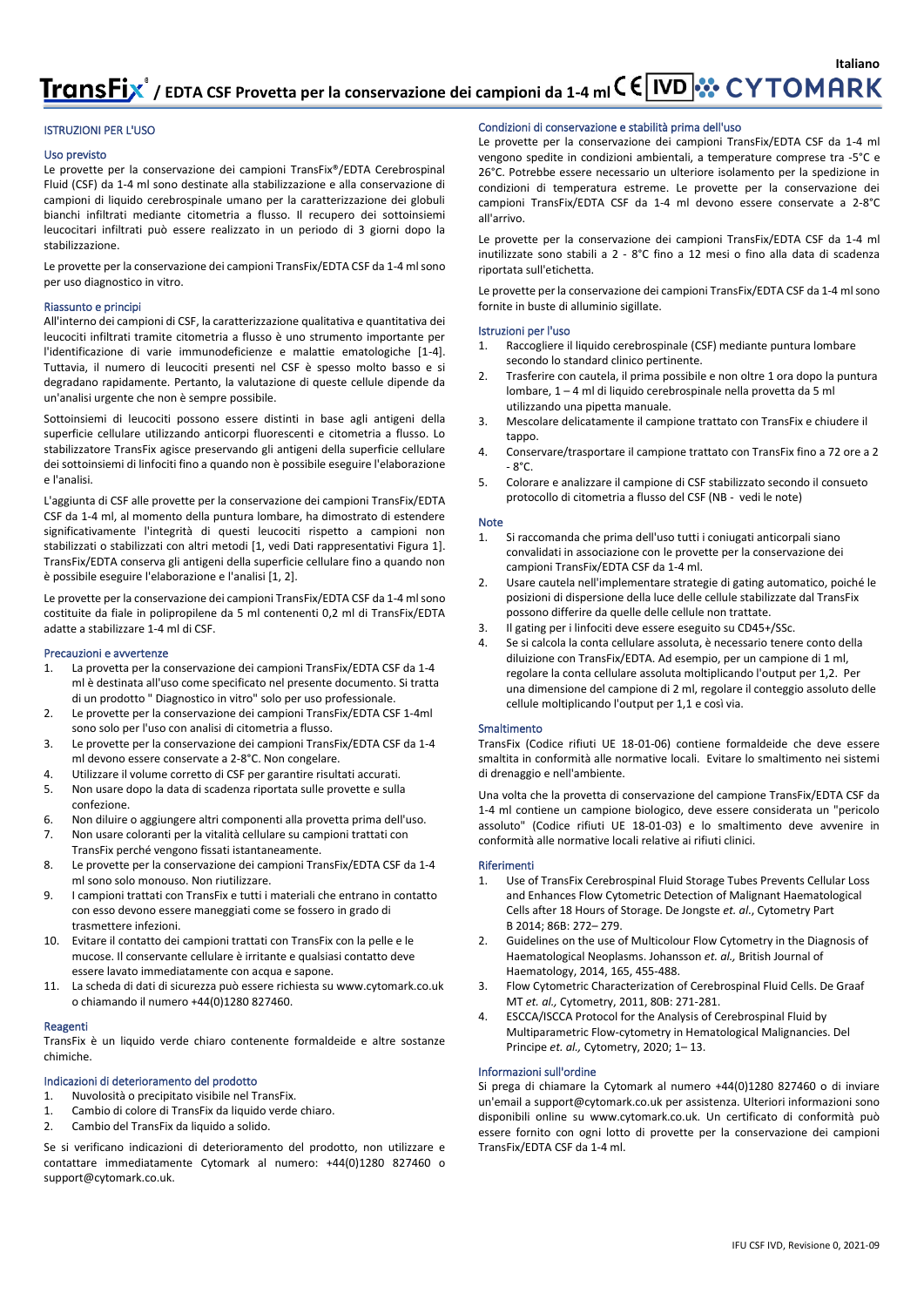**Italiano** TransFix<sup>®</sup> / EDTA CSF Provetta per la conservazione dei campioni da 1-4 ml C E VD **X** C Y TO MARK

#### ISTRUZIONI PER L'USO

#### Uso previsto

Le provette per la conservazione dei campioni TransFix®/EDTA Cerebrospinal Fluid (CSF) da 1-4 ml sono destinate alla stabilizzazione e alla conservazione di campioni di liquido cerebrospinale umano per la caratterizzazione dei globuli bianchi infiltrati mediante citometria a flusso. Il recupero dei sottoinsiemi leucocitari infiltrati può essere realizzato in un periodo di 3 giorni dopo la stabilizzazione.

Le provette per la conservazione dei campioni TransFix/EDTA CSF da 1-4 ml sono per uso diagnostico in vitro.

#### Riassunto e principi

All'interno dei campioni di CSF, la caratterizzazione qualitativa e quantitativa dei leucociti infiltrati tramite citometria a flusso è uno strumento importante per l'identificazione di varie immunodeficienze e malattie ematologiche [1-4]. Tuttavia, il numero di leucociti presenti nel CSF è spesso molto basso e si degradano rapidamente. Pertanto, la valutazione di queste cellule dipende da un'analisi urgente che non è sempre possibile.

Sottoinsiemi di leucociti possono essere distinti in base agli antigeni della superficie cellulare utilizzando anticorpi fluorescenti e citometria a flusso. Lo stabilizzatore TransFix agisce preservando gli antigeni della superficie cellulare dei sottoinsiemi di linfociti fino a quando non è possibile eseguire l'elaborazione e l'analisi.

L'aggiunta di CSF alle provette per la conservazione dei campioni TransFix/EDTA CSF da 1-4 ml, al momento della puntura lombare, ha dimostrato di estendere significativamente l'integrità di questi leucociti rispetto a campioni non stabilizzati o stabilizzati con altri metodi [1, vedi Dati rappresentativi Figura 1]. TransFix/EDTA conserva gli antigeni della superficie cellulare fino a quando non è possibile eseguire l'elaborazione e l'analisi [1, 2].

Le provette per la conservazione dei campioni TransFix/EDTA CSF da 1-4 ml sono costituite da fiale in polipropilene da 5 ml contenenti 0,2 ml di TransFix/EDTA adatte a stabilizzare 1-4 ml di CSF.

#### Precauzioni e avvertenze

- 1. La provetta per la conservazione dei campioni TransFix/EDTA CSF da 1-4 ml è destinata all'uso come specificato nel presente documento. Si tratta di un prodotto " Diagnostico in vitro" solo per uso professionale.
- 2. Le provette per la conservazione dei campioni TransFix/EDTA CSF 1-4ml sono solo per l'uso con analisi di citometria a flusso.
- 3. Le provette per la conservazione dei campioni TransFix/EDTA CSF da 1-4 ml devono essere conservate a 2-8°C. Non congelare.
- 4. Utilizzare il volume corretto di CSF per garantire risultati accurati.
- 5. Non usare dopo la data di scadenza riportata sulle provette e sulla confezione.
- 6. Non diluire o aggiungere altri componenti alla provetta prima dell'uso.
- 7. Non usare coloranti per la vitalità cellulare su campioni trattati con TransFix perché vengono fissati istantaneamente.
- 8. Le provette per la conservazione dei campioni TransFix/EDTA CSF da 1-4 ml sono solo monouso. Non riutilizzare.
- 9. I campioni trattati con TransFix e tutti i materiali che entrano in contatto con esso devono essere maneggiati come se fossero in grado di trasmettere infezioni.
- 10. Evitare il contatto dei campioni trattati con TransFix con la pelle e le mucose. Il conservante cellulare è irritante e qualsiasi contatto deve essere lavato immediatamente con acqua e sapone.
- 11. La scheda di dati di sicurezza può essere richiesta su www.cytomark.co.uk o chiamando il numero +44(0)1280 827460.

#### Reagenti

TransFix è un liquido verde chiaro contenente formaldeide e altre sostanze chimiche.

#### Indicazioni di deterioramento del prodotto

- 1. Nuvolosità o precipitato visibile nel TransFix.<br>1. Cambio di colore di TransFix da liquido verde
- 1. Cambio di colore di TransFix da liquido verde chiaro.
- 2. Cambio del TransFix da liquido a solido.

Se si verificano indicazioni di deterioramento del prodotto, non utilizzare e contattare immediatamente Cytomark al numero: +44(0)1280 827460 o support@cytomark.co.uk.

#### Condizioni di conservazione e stabilità prima dell'uso

Le provette per la conservazione dei campioni TransFix/EDTA CSF da 1-4 ml vengono spedite in condizioni ambientali, a temperature comprese tra -5°C e 26°C. Potrebbe essere necessario un ulteriore isolamento per la spedizione in condizioni di temperatura estreme. Le provette per la conservazione dei campioni TransFix/EDTA CSF da 1-4 ml devono essere conservate a 2-8°C all'arrivo.

Le provette per la conservazione dei campioni TransFix/EDTA CSF da 1-4 ml inutilizzate sono stabili a 2 - 8°C fino a 12 mesi o fino alla data di scadenza riportata sull'etichetta.

Le provette per la conservazione dei campioni TransFix/EDTA CSF da 1-4 ml sono fornite in buste di alluminio sigillate.

#### Istruzioni per l'uso

- 1. Raccogliere il liquido cerebrospinale (CSF) mediante puntura lombare secondo lo standard clinico pertinente.
- 2. Trasferire con cautela, il prima possibile e non oltre 1 ora dopo la puntura lombare, 1 – 4 ml di liquido cerebrospinale nella provetta da 5 ml utilizzando una pipetta manuale.
- 3. Mescolare delicatamente il campione trattato con TransFix e chiudere il tappo.
- 4. Conservare/trasportare il campione trattato con TransFix fino a 72 ore a 2 - 8°C.
- 5. Colorare e analizzare il campione di CSF stabilizzato secondo il consueto protocollo di citometria a flusso del CSF (NB - vedi le note)

#### Note

- 1. Si raccomanda che prima dell'uso tutti i coniugati anticorpali siano convalidati in associazione con le provette per la conservazione dei campioni TransFix/EDTA CSF da 1-4 ml.
- Usare cautela nell'implementare strategie di gating automatico, poiché le posizioni di dispersione della luce delle cellule stabilizzate dal TransFix possono differire da quelle delle cellule non trattate.
- 3. Il gating per i linfociti deve essere eseguito su CD45+/SSc.
- 4. Se si calcola la conta cellulare assoluta, è necessario tenere conto della diluizione con TransFix/EDTA. Ad esempio, per un campione di 1 ml, regolare la conta cellulare assoluta moltiplicando l'output per 1,2. Per una dimensione del campione di 2 ml, regolare il conteggio assoluto delle cellule moltiplicando l'output per 1,1 e così via.

#### **Smaltimento**

TransFix (Codice rifiuti UE 18-01-06) contiene formaldeide che deve essere smaltita in conformità alle normative locali. Evitare lo smaltimento nei sistemi di drenaggio e nell'ambiente.

Una volta che la provetta di conservazione del campione TransFix/EDTA CSF da 1-4 ml contiene un campione biologico, deve essere considerata un "pericolo assoluto" (Codice rifiuti UE 18-01-03) e lo smaltimento deve avvenire in conformità alle normative locali relative ai rifiuti clinici.

#### Riferimenti

- 1. Use of TransFix Cerebrospinal Fluid Storage Tubes Prevents Cellular Loss and Enhances Flow Cytometric Detection of Malignant Haematological Cells after 18 Hours of Storage. De Jongste *et. al*., Cytometry Part B 2014; 86B: 272– 279.
- 2. Guidelines on the use of Multicolour Flow Cytometry in the Diagnosis of Haematological Neoplasms. Johansson *et. al.,* British Journal of Haematology, 2014, 165, 455-488.
- 3. Flow Cytometric Characterization of Cerebrospinal Fluid Cells. De Graaf MT *et. al.,* Cytometry, 2011, 80B: 271-281.
- 4. ESCCA/ISCCA Protocol for the Analysis of Cerebrospinal Fluid by Multiparametric Flow‐cytometry in Hematological Malignancies. Del Principe *et. al.,* Cytometry, 2020; 1– 13.

#### Informazioni sull'ordine

Si prega di chiamare la Cytomark al numero +44(0)1280 827460 o di inviare un'email a support@cytomark.co.uk per assistenza. Ulteriori informazioni sono disponibili online su www.cytomark.co.uk. Un certificato di conformità può essere fornito con ogni lotto di provette per la conservazione dei campioni TransFix/EDTA CSF da 1-4 ml.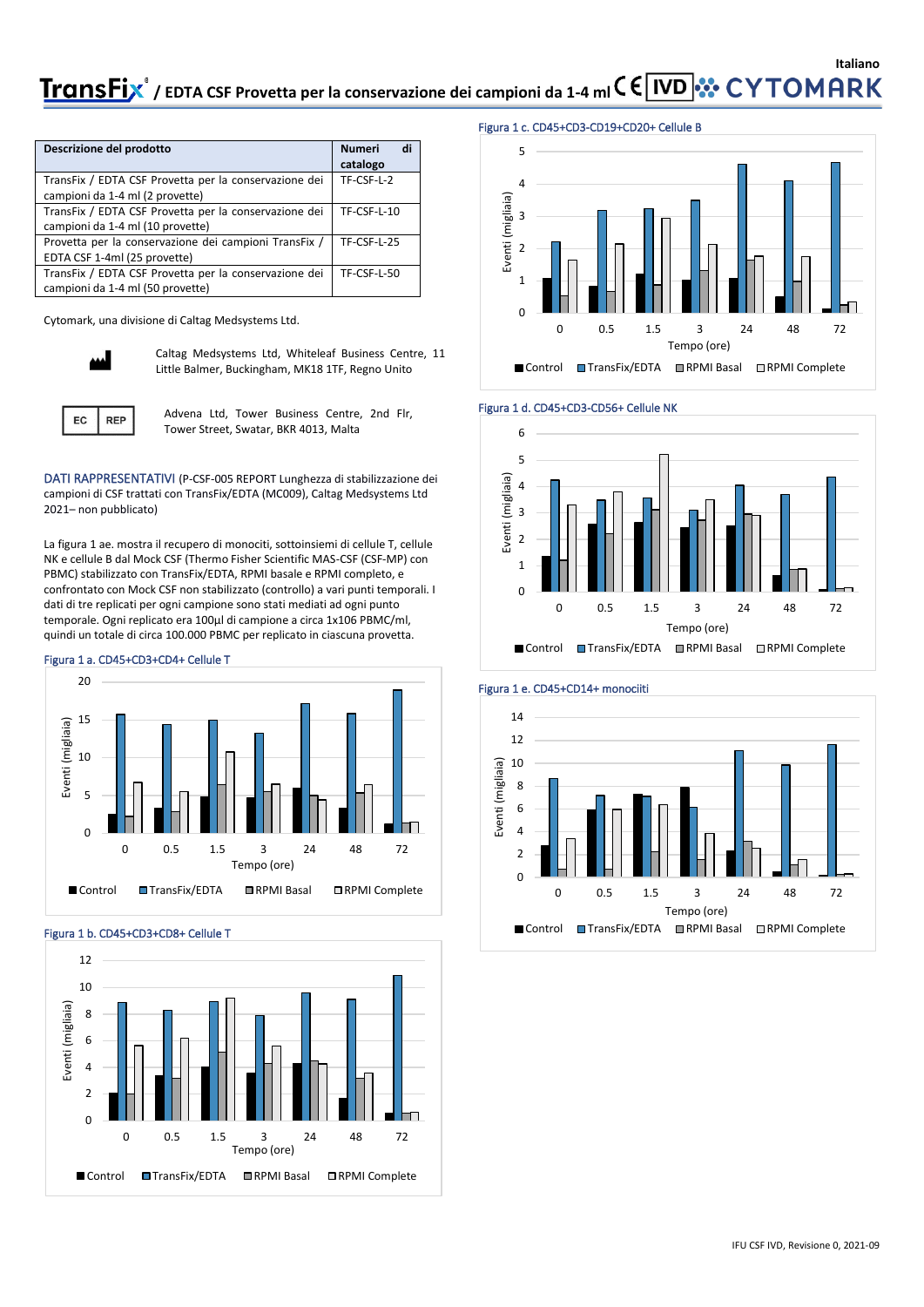## **Italiano TransFix**® / EDTA CSF Provetta per la conservazione dei campioni da 1-4 ml C E IVD **X** CY TOMARK

| Descrizione del prodotto                              | di<br><b>Numeri</b><br>catalogo |
|-------------------------------------------------------|---------------------------------|
| TransFix / EDTA CSF Provetta per la conservazione dei | TF-CSF-L-2                      |
| campioni da 1-4 ml (2 provette)                       |                                 |
| TransFix / EDTA CSF Provetta per la conservazione dei | TF-CSF-L-10                     |
| campioni da 1-4 ml (10 provette)                      |                                 |
| Provetta per la conservazione dei campioni TransFix / | TF-CSF-L-25                     |
| EDTA CSF 1-4ml (25 provette)                          |                                 |
| TransFix / EDTA CSF Provetta per la conservazione dei | TF-CSF-L-50                     |
| campioni da 1-4 ml (50 provette)                      |                                 |

Cytomark, una divisione di Caltag Medsystems Ltd.



**REP** 

EC

Caltag Medsystems Ltd, Whiteleaf Business Centre, 11 Little Balmer, Buckingham, MK18 1TF, Regno Unito

Advena Ltd, Tower Business Centre, 2nd Flr, Tower Street, Swatar, BKR 4013, Malta

DATI RAPPRESENTATIVI (P-CSF-005 REPORT Lunghezza di stabilizzazione dei campioni di CSF trattati con TransFix/EDTA (MC009), Caltag Medsystems Ltd 2021– non pubblicato)

La figura 1 ae. mostra il recupero di monociti, sottoinsiemi di cellule T, cellule NK e cellule B dal Mock CSF (Thermo Fisher Scientific MAS-CSF (CSF-MP) con PBMC) stabilizzato con TransFix/EDTA, RPMI basale e RPMI completo, e confrontato con Mock CSF non stabilizzato (controllo) a vari punti temporali. I dati di tre replicati per ogni campione sono stati mediati ad ogni punto temporale. Ogni replicato era 100µl di campione a circa 1x106 PBMC/ml, quindi un totale di circa 100.000 PBMC per replicato in ciascuna provetta.

#### Figura 1 a. CD45+CD3+CD4+ Cellule T



#### Figura 1 b. CD45+CD3+CD8+ Cellule T



#### Figura 1 c. CD45+CD3-CD19+CD20+ Cellule B









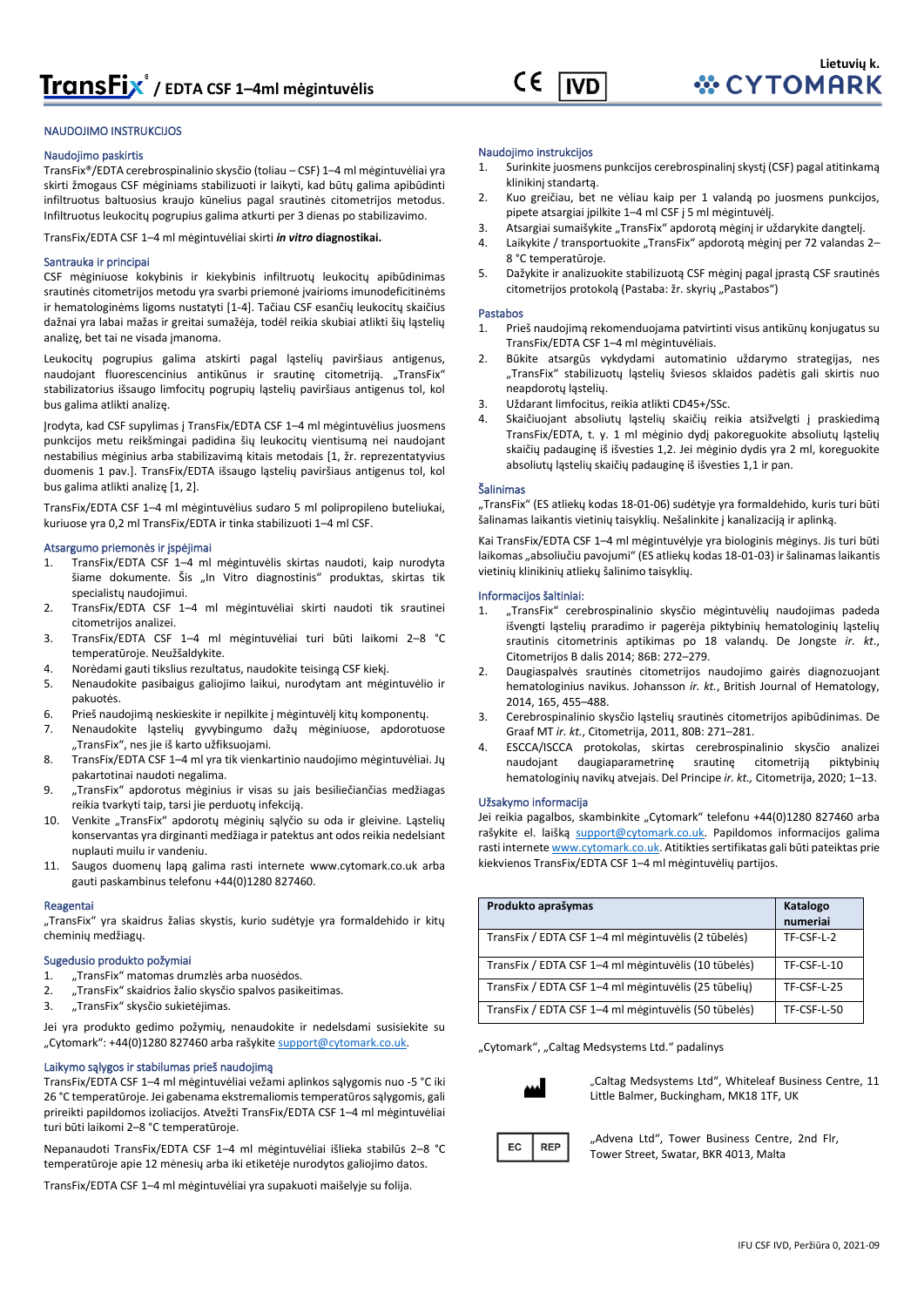

#### NAUDOJIMO INSTRUKCIJOS

#### Naudojimo paskirtis

TransFix®/EDTA cerebrospinalinio skysčio (toliau – CSF) 1–4 ml mėgintuvėliai yra skirti žmogaus CSF mėginiams stabilizuoti ir laikyti, kad būtų galima apibūdinti infiltruotus baltuosius kraujo kūnelius pagal srautinės citometrijos metodus. Infiltruotus leukocitų pogrupius galima atkurti per 3 dienas po stabilizavimo.

TransFix/EDTA CSF 1–4 ml mėgintuvėliai skirti *in vitro* **diagnostikai.**

#### Santrauka ir principai

CSF mėginiuose kokybinis ir kiekybinis infiltruotų leukocitų apibūdinimas srautinės citometrijos metodu yra svarbi priemonė įvairioms imunodeficitinėms ir hematologinėms ligoms nustatyti [1-4]. Tačiau CSF esančių leukocitų skaičius dažnai yra labai mažas ir greitai sumažėja, todėl reikia skubiai atlikti šių ląstelių analizę, bet tai ne visada įmanoma.

Leukocitų pogrupius galima atskirti pagal ląstelių paviršiaus antigenus, naudojant fluorescencinius antikūnus ir srautinę citometriją. "TransFix" stabilizatorius išsaugo limfocitų pogrupių ląstelių paviršiaus antigenus tol, kol bus galima atlikti analizę.

Įrodyta, kad CSF supylimas į TransFix/EDTA CSF 1–4 ml mėgintuvėlius juosmens punkcijos metu reikšmingai padidina šių leukocitų vientisumą nei naudojant nestabilius mėginius arba stabilizavimą kitais metodais [1, žr. reprezentatyvius duomenis 1 pav.]. TransFix/EDTA išsaugo ląstelių paviršiaus antigenus tol, kol bus galima atlikti analizę [1, 2].

TransFix/EDTA CSF 1–4 ml mėgintuvėlius sudaro 5 ml polipropileno buteliukai, kuriuose yra 0,2 ml TransFix/EDTA ir tinka stabilizuoti 1–4 ml CSF.

#### Atsargumo priemonės ir įspėjimai

- 1. TransFix/EDTA CSF 1–4 ml mėgintuvėlis skirtas naudoti, kaip nurodyta šiame dokumente. Šis "In Vitro diagnostinis" produktas, skirtas tik specialistų naudojimui.
- 2. TransFix/EDTA CSF 1–4 ml mėgintuvėliai skirti naudoti tik srautinei citometrijos analizei.
- 3. TransFix/EDTA CSF 1–4 ml mėgintuvėliai turi būti laikomi 2–8 °C temperatūroje. Neužšaldykite.
- 4. Norėdami gauti tikslius rezultatus, naudokite teisingą CSF kiekį.
- 5. Nenaudokite pasibaigus galiojimo laikui, nurodytam ant mėgintuvėlio ir pakuotės.
- 6. Prieš naudojimą neskieskite ir nepilkite į mėgintuvėlį kitų komponentų.
- 7. Nenaudokite ląstelių gyvybingumo dažų mėginiuose, apdorotuose "TransFix", nes jie iš karto užfiksuojami.
- 8. TransFix/EDTA CSF 1–4 ml yra tik vienkartinio naudojimo mėgintuvėliai. Jų pakartotinai naudoti negalima.
- 9. "TransFix" apdorotus mėginius ir visas su jais besiliečiančias medžiagas reikia tvarkyti taip, tarsi jie perduotų infekciją.
- 10. Venkite "TransFix" apdorotų mėginių sąlyčio su oda ir gleivine. Ląstelių konservantas yra dirginanti medžiaga ir patektus ant odos reikia nedelsiant nuplauti muilu ir vandeniu.
- 11. Saugos duomenų lapą galima rasti internete [www.cytomark.co.uk](http://www.cytomark.co.uk/) arba gauti paskambinus telefonu +44(0)1280 827460.

#### Reagentai

"TransFix" yra skaidrus žalias skystis, kurio sudėtyje yra formaldehido ir kitų cheminių medžiagų.

#### Sugedusio produkto požymiai

- 1. "TransFix" matomas drumzlės arba nuosėdos.
- 2. "TransFix" skaidrios žalio skysčio spalvos pasikeitimas.
- 3. "TransFix" skysčio sukietėjimas.

Jei yra produkto gedimo požymių, nenaudokite ir nedelsdami susisiekite su "Cytomark": +44(0)1280 827460 arba rašykite support@cytomark.co.uk.

#### Laikymo sąlygos ir stabilumas prieš naudojimą

TransFix/EDTA CSF 1–4 ml mėgintuvėliai vežami aplinkos sąlygomis nuo -5 °C iki 26 °C temperatūroje. Jei gabenama ekstremaliomis temperatūros sąlygomis, gali prireikti papildomos izoliacijos. Atvežti TransFix/EDTA CSF 1–4 ml mėgintuvėliai turi būti laikomi 2–8 °C temperatūroje.

Nepanaudoti TransFix/EDTA CSF 1–4 ml mėgintuvėliai išlieka stabilūs 2–8 °C temperatūroje apie 12 mėnesių arba iki etiketėje nurodytos galiojimo datos.

TransFix/EDTA CSF 1–4 ml mėgintuvėliai yra supakuoti maišelyje su folija.

#### Naudojimo instrukcijos

- 1. Surinkite juosmens punkcijos cerebrospinalinį skystį (CSF) pagal atitinkamą klinikinį standartą.
- 2. Kuo greičiau, bet ne vėliau kaip per 1 valandą po juosmens punkcijos, pipete atsargiai įpilkite 1–4 ml CSF į 5 ml mėgintuvėlį.
- 3. Atsargiai sumaišykite "TransFix" apdorotą mėginį ir uždarykite dangtelį.
- 4. Laikykite / transportuokite "TransFix" apdorotą mėginį per 72 valandas 2– 8 °C temperatūroje.
- 5. Dažykite ir analizuokite stabilizuotą CSF mėginį pagal įprastą CSF srautinės citometrijos protokolą (Pastaba: žr. skyrių "Pastabos")

#### Pastabos

- 1. Prieš naudojimą rekomenduojama patvirtinti visus antikūnų konjugatus su TransFix/EDTA CSF 1–4 ml mėgintuvėliais.
- 2. Būkite atsargūs vykdydami automatinio uždarymo strategijas, nes "TransFix" stabilizuotų ląstelių šviesos sklaidos padėtis gali skirtis nuo neapdorotų ląstelių.
- 3. Uždarant limfocitus, reikia atlikti CD45+/SSc.
- 4. Skaičiuojant absoliutų ląstelių skaičių reikia atsižvelgti į praskiedimą TransFix/EDTA, t. y. 1 ml mėginio dydį pakoreguokite absoliutų ląstelių skaičių padauginę iš išvesties 1,2. Jei mėginio dydis yra 2 ml, koreguokite absoliutų ląstelių skaičių padauginę iš išvesties 1,1 ir pan.

#### Šalinimas

"TransFix" (ES atliekų kodas 18-01-06) sudėtyje yra formaldehido, kuris turi būti šalinamas laikantis vietinių taisyklių. Nešalinkite į kanalizaciją ir aplinką.

Kai TransFix/EDTA CSF 1–4 ml mėgintuvėlyje yra biologinis mėginys. Jis turi būti laikomas "absoliučiu pavojumi" (ES atliekų kodas 18-01-03) ir šalinamas laikantis vietinių klinikinių atliekų šalinimo taisyklių.

#### Informacijos šaltiniai:

- 1. "TransFix" cerebrospinalinio skysčio mėgintuvėlių naudojimas padeda išvengti ląstelių praradimo ir pagerėja piktybinių hematologinių ląstelių srautinis citometrinis aptikimas po 18 valandų. De Jongste *ir. kt*., Citometrijos B dalis 2014; 86B: 272–279.
- 2. Daugiaspalvės srautinės citometrijos naudojimo gairės diagnozuojant hematologinius navikus. Johansson *ir. kt.*, British Journal of Hematology, 2014, 165, 455–488.
- 3. Cerebrospinalinio skysčio ląstelių srautinės citometrijos apibūdinimas. De Graaf MT *ir. kt.*, Citometrija, 2011, 80B: 271–281.
- 4. ESCCA/ISCCA protokolas, skirtas cerebrospinalinio skysčio analizei naudojant daugiaparametrinę srautinę citometriją piktybinių hematologinių navikų atvejais. Del Principe *ir. kt.,* Citometrija, 2020; 1–13.

#### Užsakymo informacija

Jei reikia pagalbos, skambinkite "Cytomark" telefonu +44(0)1280 827460 arba rašykite el. laišką [support@cytomark.co.uk.](mailto:cytomark@caltagmedsystems.co.uk) Papildomos informacijos galima rasti internet[e www.cytomark.co.uk](http://www.cytomark.co.uk/). Atitikties sertifikatas gali būti pateiktas prie kiekvienos TransFix/EDTA CSF 1–4 ml mėgintuvėlių partijos.

| Produkto aprašymas                                   | Katalogo    |
|------------------------------------------------------|-------------|
|                                                      | numeriai    |
| TransFix / EDTA CSF 1-4 ml megintuvelis (2 tūbelės)  | TF-CSF-L-2  |
| TransFix / EDTA CSF 1-4 ml megintuvelis (10 tūbelės) | TF-CSF-L-10 |
| TransFix / EDTA CSF 1-4 ml megintuvelis (25 tūbelių) | TF-CSF-L-25 |
| TransFix / EDTA CSF 1-4 ml megintuvelis (50 tūbelės) | TF-CSF-L-50 |

"Cytomark", "Caltag Medsystems Ltd." padalinys



..Caltag Medsystems Ltd". Whiteleaf Business Centre, 11 Little Balmer, Buckingham, MK18 1TF, UK



"Advena Ltd", Tower Business Centre, 2nd Flr, Tower Street, Swatar, BKR 4013, Malta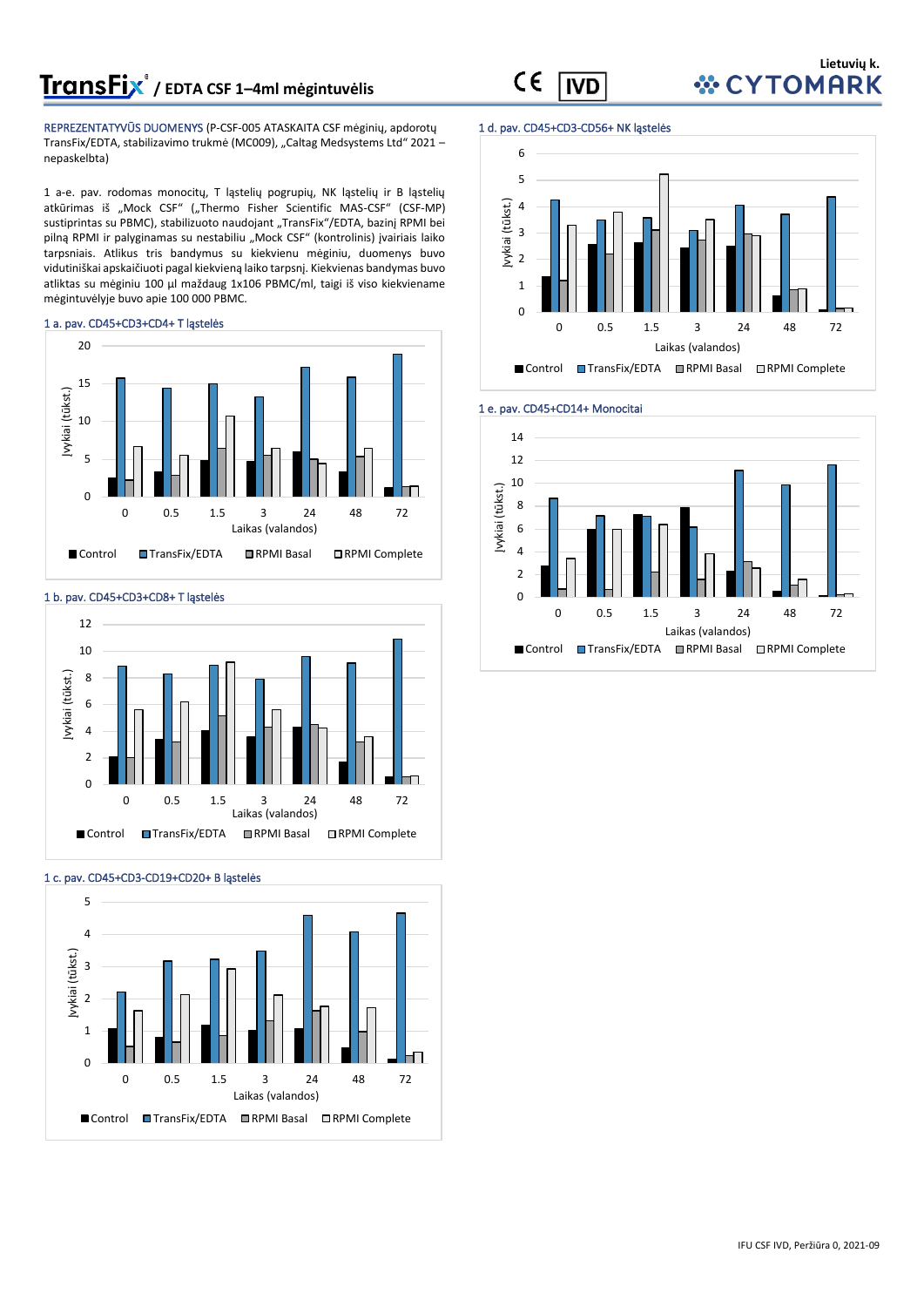# **/ EDTA CSF 1–4ml mėgintuvėlis**

REPREZENTATYVŪS DUOMENYS (P-CSF-005 ATASKAITA CSF mėginių, apdorotų TransFix/EDTA, stabilizavimo trukmė (MC009), "Caltag Medsystems Ltd" 2021 – nepaskelbta)

1 a-e. pav. rodomas monocitų, T ląstelių pogrupių, NK ląstelių ir B ląstelių atkūrimas iš "Mock CSF" ("Thermo Fisher Scientific MAS-CSF" (CSF-MP) sustiprintas su PBMC), stabilizuoto naudojant "TransFix"/EDTA, bazinį RPMI bei pilną RPMI ir palyginamas su nestabiliu "Mock CSF" (kontrolinis) įvairiais laiko tarpsniais. Atlikus tris bandymus su kiekvienu mėginiu, duomenys buvo vidutiniškai apskaičiuoti pagal kiekvieną laiko tarpsnį. Kiekvienas bandymas buvo atliktas su mėginiu 100 µl maždaug 1x106 PBMC/ml, taigi iš viso kiekviename mėgintuvėlyje buvo apie 100 000 PBMC.

#### 1 a. pav. CD45+CD3+CD4+ T ląstelės







### 1 d. pav. CD45+CD3-CD56+ NK ląstelės

**IVD** 

CE





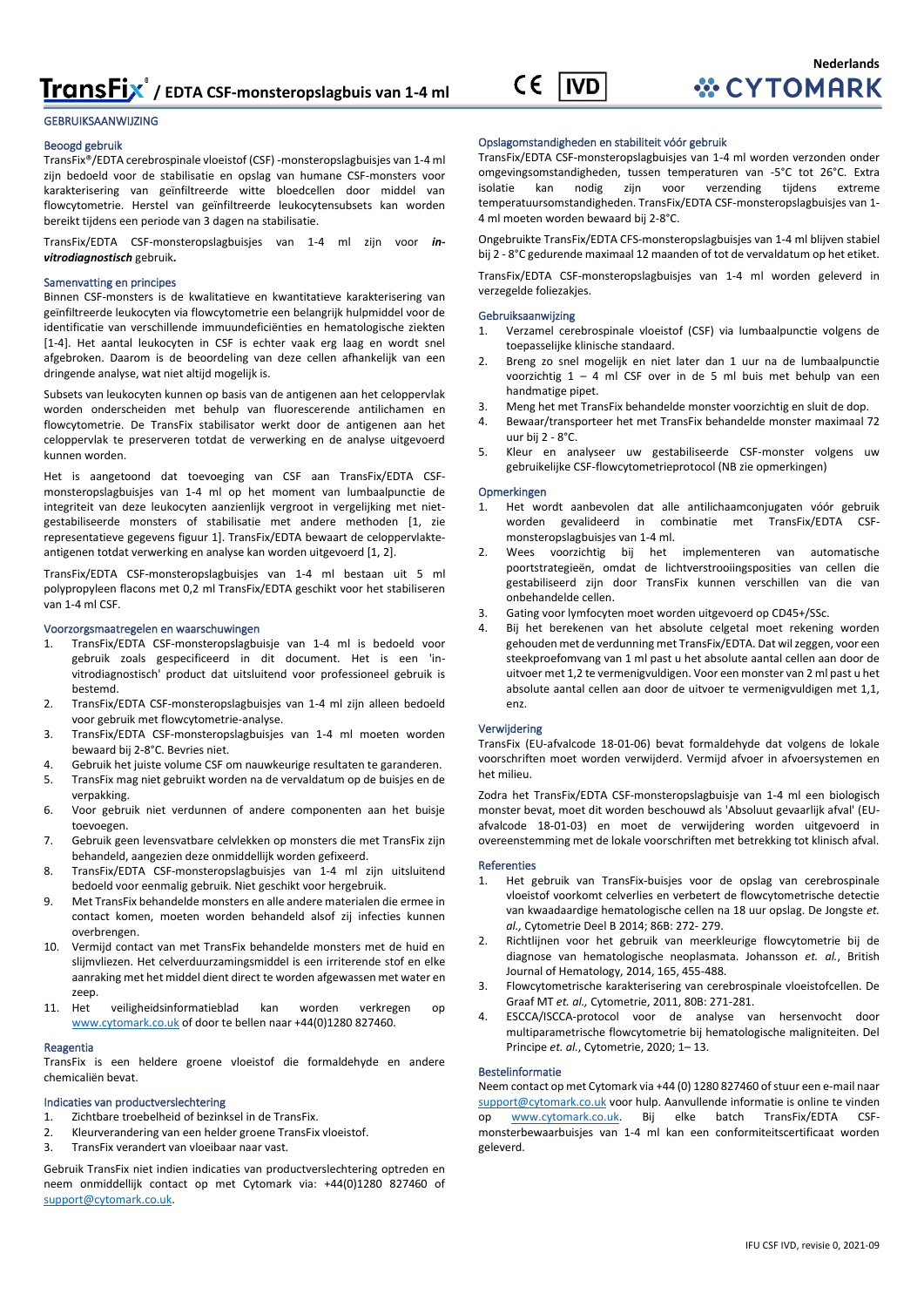

#### Beoogd gebruik

TransFix®/EDTA cerebrospinale vloeistof (CSF) -monsteropslagbuisjes van 1-4 ml zijn bedoeld voor de stabilisatie en opslag van humane CSF-monsters voor karakterisering van geïnfiltreerde witte bloedcellen door middel van flowcytometrie. Herstel van geïnfiltreerde leukocytensubsets kan worden bereikt tijdens een periode van 3 dagen na stabilisatie.

TransFix/EDTA CSF-monsteropslagbuisjes van 1-4 ml zijn voor *invitrodiagnostisch* gebruik**.**

#### Samenvatting en principes

Binnen CSF-monsters is de kwalitatieve en kwantitatieve karakterisering van geïnfiltreerde leukocyten via flowcytometrie een belangrijk hulpmiddel voor de identificatie van verschillende immuundeficiënties en hematologische ziekten [1-4]. Het aantal leukocyten in CSF is echter vaak erg laag en wordt snel afgebroken. Daarom is de beoordeling van deze cellen afhankelijk van een dringende analyse, wat niet altijd mogelijk is.

Subsets van leukocyten kunnen op basis van de antigenen aan het celoppervlak worden onderscheiden met behulp van fluorescerende antilichamen en flowcytometrie. De TransFix stabilisator werkt door de antigenen aan het celoppervlak te preserveren totdat de verwerking en de analyse uitgevoerd kunnen worden.

Het is aangetoond dat toevoeging van CSF aan TransFix/EDTA CSFmonsteropslagbuisjes van 1-4 ml op het moment van lumbaalpunctie de integriteit van deze leukocyten aanzienlijk vergroot in vergelijking met nietgestabiliseerde monsters of stabilisatie met andere methoden [1, zie representatieve gegevens figuur 1]. TransFix/EDTA bewaart de celoppervlakteantigenen totdat verwerking en analyse kan worden uitgevoerd [1, 2].

TransFix/EDTA CSF-monsteropslagbuisjes van 1-4 ml bestaan uit 5 ml polypropyleen flacons met 0,2 ml TransFix/EDTA geschikt voor het stabiliseren van 1-4 ml CSF.

#### Voorzorgsmaatregelen en waarschuwingen

- 1. TransFix/EDTA CSF-monsteropslagbuisje van 1-4 ml is bedoeld voor gebruik zoals gespecificeerd in dit document. Het is een 'invitrodiagnostisch' product dat uitsluitend voor professioneel gebruik is bestemd.
- 2. TransFix/EDTA CSF-monsteropslagbuisjes van 1-4 ml zijn alleen bedoeld voor gebruik met flowcytometrie-analyse.
- 3. TransFix/EDTA CSF-monsteropslagbuisjes van 1-4 ml moeten worden bewaard bij 2-8°C. Bevries niet.
- 4. Gebruik het juiste volume CSF om nauwkeurige resultaten te garanderen.
- 5. TransFix mag niet gebruikt worden na de vervaldatum op de buisjes en de verpakking.
- 6. Voor gebruik niet verdunnen of andere componenten aan het buisje toevoegen.
- 7. Gebruik geen levensvatbare celvlekken op monsters die met TransFix zijn behandeld, aangezien deze onmiddellijk worden gefixeerd.
- 8. TransFix/EDTA CSF-monsteropslagbuisjes van 1-4 ml zijn uitsluitend bedoeld voor eenmalig gebruik. Niet geschikt voor hergebruik.
- 9. Met TransFix behandelde monsters en alle andere materialen die ermee in contact komen, moeten worden behandeld alsof zij infecties kunnen overbrengen.
- 10. Vermijd contact van met TransFix behandelde monsters met de huid en slijmvliezen. Het celverduurzamingsmiddel is een irriterende stof en elke aanraking met het middel dient direct te worden afgewassen met water en zeep.
- 11. Het veiligheidsinformatieblad kan worden verkregen op [www.cytomark.co.uk](http://www.cytomark.co.uk/) of door te bellen naar +44(0)1280 827460.

#### Reagentia

TransFix is een heldere groene vloeistof die formaldehyde en andere chemicaliën bevat.

#### Indicaties van productverslechtering

- 1. Zichtbare troebelheid of bezinksel in de TransFix.<br>2. Kleurverandering van een helder groene TransFix.
- 2. Kleurverandering van een helder groene TransFix vloeistof.
- 3. TransFix verandert van vloeibaar naar vast.

Gebruik TransFix niet indien indicaties van productverslechtering optreden en neem onmiddellijk contact op met Cytomark via: +44(0)1280 827460 of [support@cytomark.co.uk.](mailto:cytomark@caltagmedsystems.co.uk) 

#### Opslagomstandigheden en stabiliteit vóór gebruik

TransFix/EDTA CSF-monsteropslagbuisjes van 1-4 ml worden verzonden onder omgevingsomstandigheden, tussen temperaturen van -5°C tot 26°C. Extra isolatie kan nodig zijn voor verzending tijdens extreme temperatuursomstandigheden. TransFix/EDTA CSF-monsteropslagbuisjes van 1- 4 ml moeten worden bewaard bij 2-8°C.

**Nederlands**

**WCYTOMARK** 

Ongebruikte TransFix/EDTA CFS-monsteropslagbuisjes van 1-4 ml blijven stabiel bij 2 - 8°C gedurende maximaal 12 maanden of tot de vervaldatum op het etiket.

TransFix/EDTA CSF-monsteropslagbuisjes van 1-4 ml worden geleverd in verzegelde foliezakjes.

#### **Gebruiksaanwiizing**

- 1. Verzamel cerebrospinale vloeistof (CSF) via lumbaalpunctie volgens de toepasselijke klinische standaard.
- 2. Breng zo snel mogelijk en niet later dan 1 uur na de lumbaalpunctie voorzichtig 1 – 4 ml CSF over in de 5 ml buis met behulp van een handmatige pipet.
- 3. Meng het met TransFix behandelde monster voorzichtig en sluit de dop.
- 4. Bewaar/transporteer het met TransFix behandelde monster maximaal 72 uur bij 2 - 8°C.
- 5. Kleur en analyseer uw gestabiliseerde CSF-monster volgens uw gebruikelijke CSF-flowcytometrieprotocol (NB zie opmerkingen)

#### Opmerkingen

- 1. Het wordt aanbevolen dat alle antilichaamconjugaten vóór gebruik worden gevalideerd in combinatie met TransFix/EDTA CSFmonsteropslagbuisjes van 1-4 ml.
- 2. Wees voorzichtig bij het implementeren van automatische poortstrategieën, omdat de lichtverstrooiingsposities van cellen die gestabiliseerd zijn door TransFix kunnen verschillen van die van onbehandelde cellen.
- 3. Gating voor lymfocyten moet worden uitgevoerd op CD45+/SSc.
- Bij het berekenen van het absolute celgetal moet rekening worden gehouden met de verdunning met TransFix/EDTA. Dat wil zeggen, voor een steekproefomvang van 1 ml past u het absolute aantal cellen aan door de uitvoer met 1,2 te vermenigvuldigen. Voor een monster van 2 ml past u het absolute aantal cellen aan door de uitvoer te vermenigvuldigen met 1,1, enz.

#### Verwijdering

TransFix (EU-afvalcode 18-01-06) bevat formaldehyde dat volgens de lokale voorschriften moet worden verwijderd. Vermijd afvoer in afvoersystemen en het milieu.

Zodra het TransFix/EDTA CSF-monsteropslagbuisje van 1-4 ml een biologisch monster bevat, moet dit worden beschouwd als 'Absoluut gevaarlijk afval' (EUafvalcode 18-01-03) en moet de verwijdering worden uitgevoerd in overeenstemming met de lokale voorschriften met betrekking tot klinisch afval.

#### **Referenties**

- 1. Het gebruik van TransFix-buisjes voor de opslag van cerebrospinale vloeistof voorkomt celverlies en verbetert de flowcytometrische detectie van kwaadaardige hematologische cellen na 18 uur opslag. De Jongste *et. al.,* Cytometrie Deel B 2014; 86B: 272- 279.
- 2. Richtlijnen voor het gebruik van meerkleurige flowcytometrie bij de diagnose van hematologische neoplasmata. Johansson *et. al.*, British Journal of Hematology, 2014, 165, 455-488.
- 3. Flowcytometrische karakterisering van cerebrospinale vloeistofcellen. De Graaf MT *et. al.,* Cytometrie, 2011, 80B: 271-281.
- 4. ESCCA/ISCCA-protocol voor de analyse van hersenvocht door multiparametrische flowcytometrie bij hematologische maligniteiten. Del Principe *et. al.*, Cytometrie, 2020; 1– 13.

#### Bestelinformatie

Neem contact op met Cytomark via +44 (0) 1280 827460 of stuur een e-mail naar [support@cytomark.co.uk](mailto:cytomark@caltagmedsystems.co.uk) voor hulp. Aanvullende informatie is online te vinden op [www.cytomark.co.uk.](http://www.cytomark.co.uk/) Bij elke batch monsterbewaarbuisjes van 1-4 ml kan een conformiteitscertificaat worden geleverd.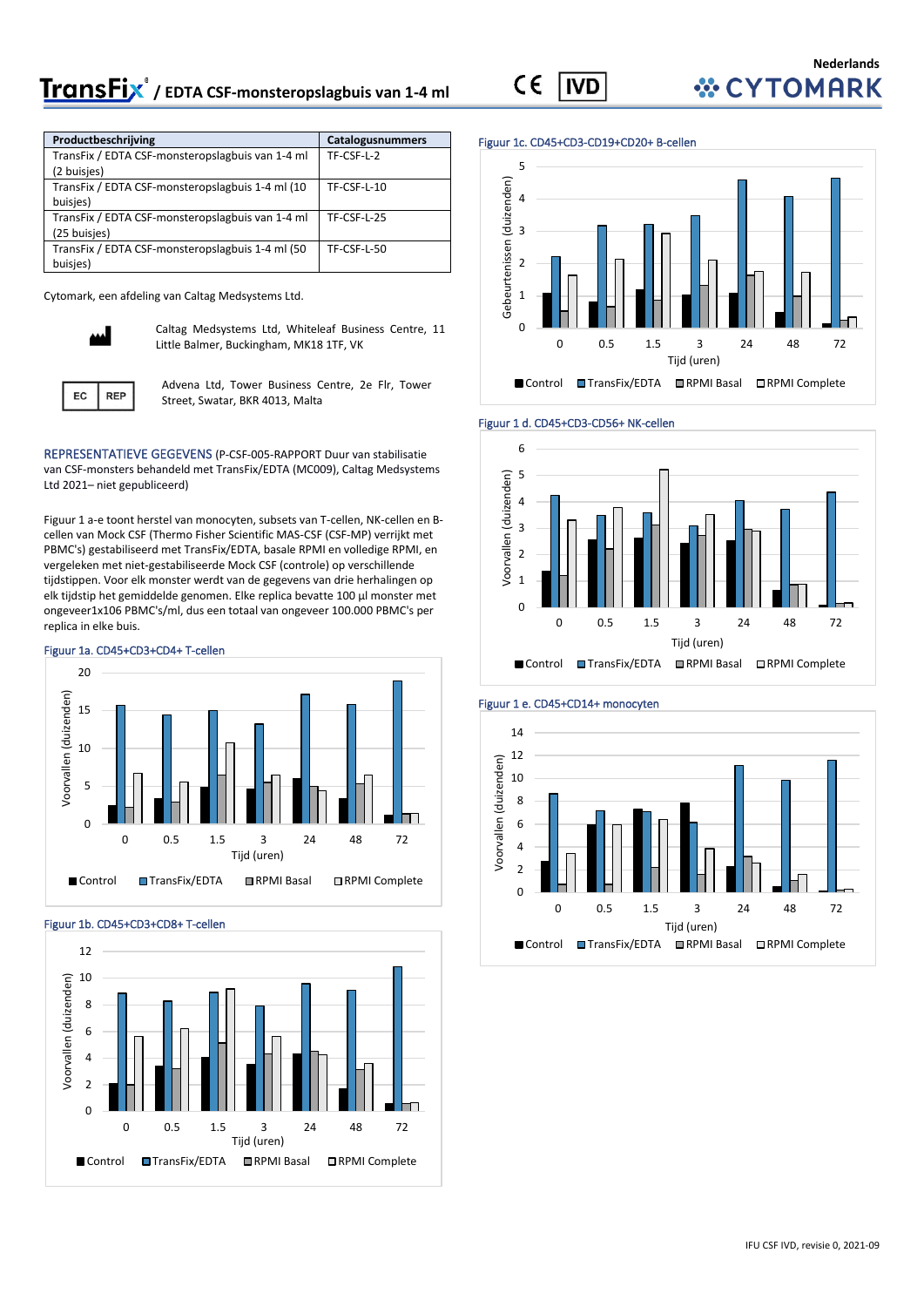# **/ EDTA CSF-monsteropslagbuis van 1-4 ml**

 $\epsilon$ **IVD** 

### **Nederlands** *WCYTOMARK*

| Productbeschrijving                              | Catalogusnummers |
|--------------------------------------------------|------------------|
| TransFix / EDTA CSF-monsteropslagbuis van 1-4 ml | TF-CSF-L-2       |
| (2 buisjes)                                      |                  |
| TransFix / EDTA CSF-monsteropslagbuis 1-4 ml (10 | TF-CSF-L-10      |
| buisjes)                                         |                  |
| TransFix / EDTA CSF-monsteropslagbuis van 1-4 ml | TF-CSF-L-25      |
| (25 buisjes)                                     |                  |
| TransFix / EDTA CSF-monsteropslagbuis 1-4 ml (50 | TF-CSF-L-50      |
| buisjes)                                         |                  |

Cytomark, een afdeling van Caltag Medsystems Ltd.



Caltag Medsystems Ltd, Whiteleaf Business Centre, 11 Little Balmer, Buckingham, MK18 1TF, VK



Advena Ltd, Tower Business Centre, 2e Flr, Tower Street, Swatar, BKR 4013, Malta

REPRESENTATIEVE GEGEVENS (P-CSF-005-RAPPORT Duur van stabilisatie van CSF-monsters behandeld met TransFix/EDTA (MC009), Caltag Medsystems Ltd 2021– niet gepubliceerd)

Figuur 1 a-e toont herstel van monocyten, subsets van T-cellen, NK-cellen en Bcellen van Mock CSF (Thermo Fisher Scientific MAS-CSF (CSF-MP) verrijkt met PBMC's) gestabiliseerd met TransFix/EDTA, basale RPMI en volledige RPMI, en vergeleken met niet-gestabiliseerde Mock CSF (controle) op verschillende tijdstippen. Voor elk monster werdt van de gegevens van drie herhalingen op elk tijdstip het gemiddelde genomen. Elke replica bevatte 100 µl monster met ongeveer1x106 PBMC's/ml, dus een totaal van ongeveer 100.000 PBMC's per replica in elke buis.



#### Figuur 1b. CD45+CD3+CD8+ T-cellen



#### Figuur 1c. CD45+CD3-CD19+CD20+ B-cellen







#### Figuur 1 e. CD45+CD14+ monocyten

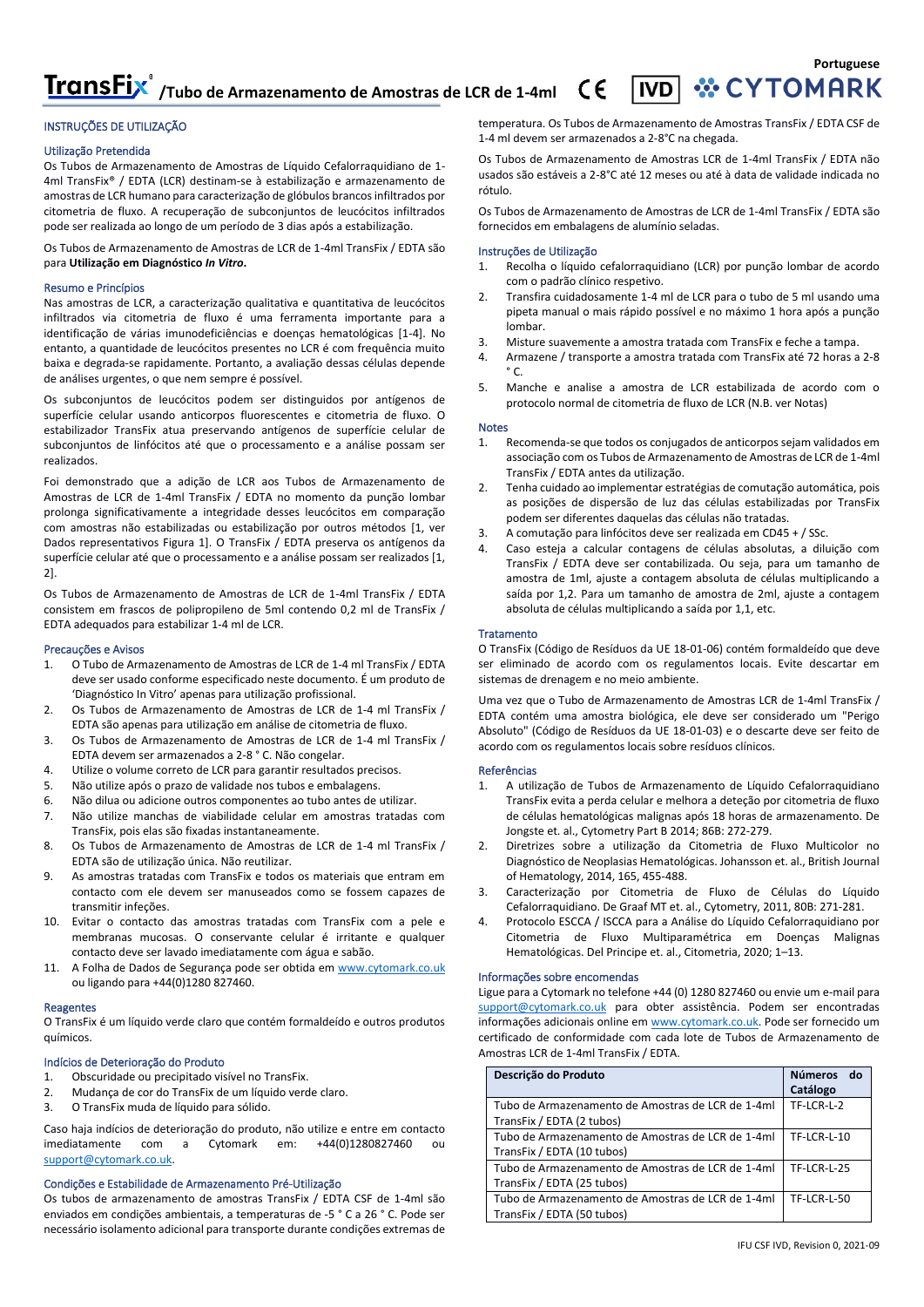TransFix<sup>®</sup>/Tubo de Armazenamento de Amostras de LCR de 1-4ml  $\mathsf{C}\mathsf{C}$ 

#### INSTRUÇÕES DE UTILIZAÇÃO

#### Utilização Pretendida

Os Tubos de Armazenamento de Amostras de Líquido Cefalorraquidiano de 1- 4ml TransFix® / EDTA (LCR) destinam-se à estabilização e armazenamento de amostras de LCR humano para caracterização de glóbulos brancos infiltrados por citometria de fluxo. A recuperação de subconjuntos de leucócitos infiltrados pode ser realizada ao longo de um período de 3 dias após a estabilização.

Os Tubos de Armazenamento de Amostras de LCR de 1-4ml TransFix / EDTA são para **Utilização em Diagnóstico** *In Vitro***.**

#### Resumo e Princípios

Nas amostras de LCR, a caracterização qualitativa e quantitativa de leucócitos infiltrados via citometria de fluxo é uma ferramenta importante para a identificação de várias imunodeficiências e doenças hematológicas [1-4]. No entanto, a quantidade de leucócitos presentes no LCR é com frequência muito baixa e degrada-se rapidamente. Portanto, a avaliação dessas células depende de análises urgentes, o que nem sempre é possível.

Os subconjuntos de leucócitos podem ser distinguidos por antígenos de superfície celular usando anticorpos fluorescentes e citometria de fluxo. O estabilizador TransFix atua preservando antígenos de superfície celular de subconjuntos de linfócitos até que o processamento e a análise possam ser realizados.

Foi demonstrado que a adição de LCR aos Tubos de Armazenamento de Amostras de LCR de 1-4ml TransFix / EDTA no momento da punção lombar prolonga significativamente a integridade desses leucócitos em comparação com amostras não estabilizadas ou estabilização por outros métodos [1, ver Dados representativos Figura 1]. O TransFix / EDTA preserva os antígenos da superfície celular até que o processamento e a análise possam ser realizados [1, 2].

Os Tubos de Armazenamento de Amostras de LCR de 1-4ml TransFix / EDTA consistem em frascos de polipropileno de 5ml contendo 0,2 ml de TransFix / EDTA adequados para estabilizar 1-4 ml de LCR.

#### Precauções e Avisos

- 1. O Tubo de Armazenamento de Amostras de LCR de 1-4 ml TransFix / EDTA deve ser usado conforme especificado neste documento. É um produto de 'Diagnóstico In Vitro' apenas para utilização profissional.
- 2. Os Tubos de Armazenamento de Amostras de LCR de 1-4 ml TransFix / EDTA são apenas para utilização em análise de citometria de fluxo.
- 3. Os Tubos de Armazenamento de Amostras de LCR de 1-4 ml TransFix / EDTA devem ser armazenados a 2-8 ° C. Não congelar.
- 4. Utilize o volume correto de LCR para garantir resultados precisos.
- 5. Não utilize após o prazo de validade nos tubos e embalagens.
- 6. Não dilua ou adicione outros componentes ao tubo antes de utilizar.
- 7. Não utilize manchas de viabilidade celular em amostras tratadas com TransFix, pois elas são fixadas instantaneamente.
- 8. Os Tubos de Armazenamento de Amostras de LCR de 1-4 ml TransFix / EDTA são de utilização única. Não reutilizar.
- 9. As amostras tratadas com TransFix e todos os materiais que entram em contacto com ele devem ser manuseados como se fossem capazes de transmitir infeções.
- 10. Evitar o contacto das amostras tratadas com TransFix com a pele e membranas mucosas. O conservante celular é irritante e qualquer contacto deve ser lavado imediatamente com água e sabão.
- 11. A Folha de Dados de Segurança pode ser obtida em [www.cytomark.co.uk](http://www.cytomark.co.uk/) ou ligando para +44(0)1280 827460.

#### Reagentes

O TransFix é um líquido verde claro que contém formaldeído e outros produtos químicos.

#### Indícios de Deterioração do Produto

- 1. Obscuridade ou precipitado visível no TransFix.
- 2. Mudança de cor do TransFix de um líquido verde claro.
- 3. O TransFix muda de líquido para sólido.

Caso haja indícios de deterioração do produto, não utilize e entre em contacto imediatamente com a Cytomark em: +44(0)1280827460 ou [support@cytomark.co.uk.](mailto:cytomark@caltagmedsystems.co.uk) 

#### Condições e Estabilidade de Armazenamento Pré-Utilização

Os tubos de armazenamento de amostras TransFix / EDTA CSF de 1-4ml são enviados em condições ambientais, a temperaturas de -5 ° C a 26 ° C. Pode ser necessário isolamento adicional para transporte durante condições extremas de temperatura. Os Tubos de Armazenamento de Amostras TransFix / EDTA CSF de 1-4 ml devem ser armazenados a 2-8°C na chegada.

Os Tubos de Armazenamento de Amostras LCR de 1-4ml TransFix / EDTA não usados são estáveis a 2-8°C até 12 meses ou até à data de validade indicada no rótulo.

Os Tubos de Armazenamento de Amostras de LCR de 1-4ml TransFix / EDTA são fornecidos em embalagens de alumínio seladas.

#### Instruções de Utilização

- 1. Recolha o líquido cefalorraquidiano (LCR) por punção lombar de acordo com o padrão clínico respetivo.
- 2. Transfira cuidadosamente 1-4 ml de LCR para o tubo de 5 ml usando uma pipeta manual o mais rápido possível e no máximo 1 hora após a punção lombar.
- 3. Misture suavemente a amostra tratada com TransFix e feche a tampa.
- 4. Armazene / transporte a amostra tratada com TransFix até 72 horas a 2-8  $^{\circ}$  C.
- 5. Manche e analise a amostra de LCR estabilizada de acordo com o protocolo normal de citometria de fluxo de LCR (N.B. ver Notas)

#### Notes

- 1. Recomenda-se que todos os conjugados de anticorpos sejam validados em associação com os Tubos de Armazenamento de Amostras de LCR de 1-4ml TransFix / EDTA antes da utilização.
- 2. Tenha cuidado ao implementar estratégias de comutação automática, pois as posições de dispersão de luz das células estabilizadas por TransFix podem ser diferentes daquelas das células não tratadas.
- 3. A comutação para linfócitos deve ser realizada em CD45 + / SSc.
- 4. Caso esteja a calcular contagens de células absolutas, a diluição com TransFix / EDTA deve ser contabilizada. Ou seja, para um tamanho de amostra de 1ml, ajuste a contagem absoluta de células multiplicando a saída por 1,2. Para um tamanho de amostra de 2ml, ajuste a contagem absoluta de células multiplicando a saída por 1,1, etc.

#### **Tratamento**

O TransFix (Código de Resíduos da UE 18-01-06) contém formaldeído que deve ser eliminado de acordo com os regulamentos locais. Evite descartar em sistemas de drenagem e no meio ambiente.

Uma vez que o Tubo de Armazenamento de Amostras LCR de 1-4ml TransFix / EDTA contém uma amostra biológica, ele deve ser considerado um "Perigo Absoluto" (Código de Resíduos da UE 18-01-03) e o descarte deve ser feito de acordo com os regulamentos locais sobre resíduos clínicos.

#### Referências

- 1. A utilização de Tubos de Armazenamento de Líquido Cefalorraquidiano TransFix evita a perda celular e melhora a deteção por citometria de fluxo de células hematológicas malignas após 18 horas de armazenamento. De Jongste et. al., Cytometry Part B 2014; 86B: 272-279.
- 2. Diretrizes sobre a utilização da Citometria de Fluxo Multicolor no Diagnóstico de Neoplasias Hematológicas. Johansson et. al., British Journal of Hematology, 2014, 165, 455-488.
- 3. Caracterização por Citometria de Fluxo de Células do Líquido Cefalorraquidiano. De Graaf MT et. al., Cytometry, 2011, 80B: 271-281.
- 4. Protocolo ESCCA / ISCCA para a Análise do Líquido Cefalorraquidiano por Citometria de Fluxo Multiparamétrica em Doenças Malignas Hematológicas. Del Principe et. al., Citometria, 2020; 1–13.

#### Informações sobre encomendas

Ligue para a Cytomark no telefone +44 (0) 1280 827460 ou envie um e-mail para [support@cytomark.co.uk](mailto:support@cytomark.co.uk) para obter assistência. Podem ser encontradas informações adicionais online e[m www.cytomark.co.uk.](http://www.cytomark.co.uk/) Pode ser fornecido um certificado de conformidade com cada lote de Tubos de Armazenamento de Amostras LCR de 1-4ml TransFix / EDTA.

| Descrição do Produto                                                            | <b>Números</b><br>do<br>Catálogo |
|---------------------------------------------------------------------------------|----------------------------------|
| Tubo de Armazenamento de Amostras de LCR de 1-4ml<br>TransFix / EDTA (2 tubos)  | TF-LCR-L-2                       |
| Tubo de Armazenamento de Amostras de LCR de 1-4ml<br>TransFix / EDTA (10 tubos) | TF-LCR-L-10                      |
| Tubo de Armazenamento de Amostras de LCR de 1-4ml<br>TransFix / EDTA (25 tubos) | TF-LCR-L-25                      |
| Tubo de Armazenamento de Amostras de LCR de 1-4ml<br>TransFix / EDTA (50 tubos) | <b>TF-LCR-L-50</b>               |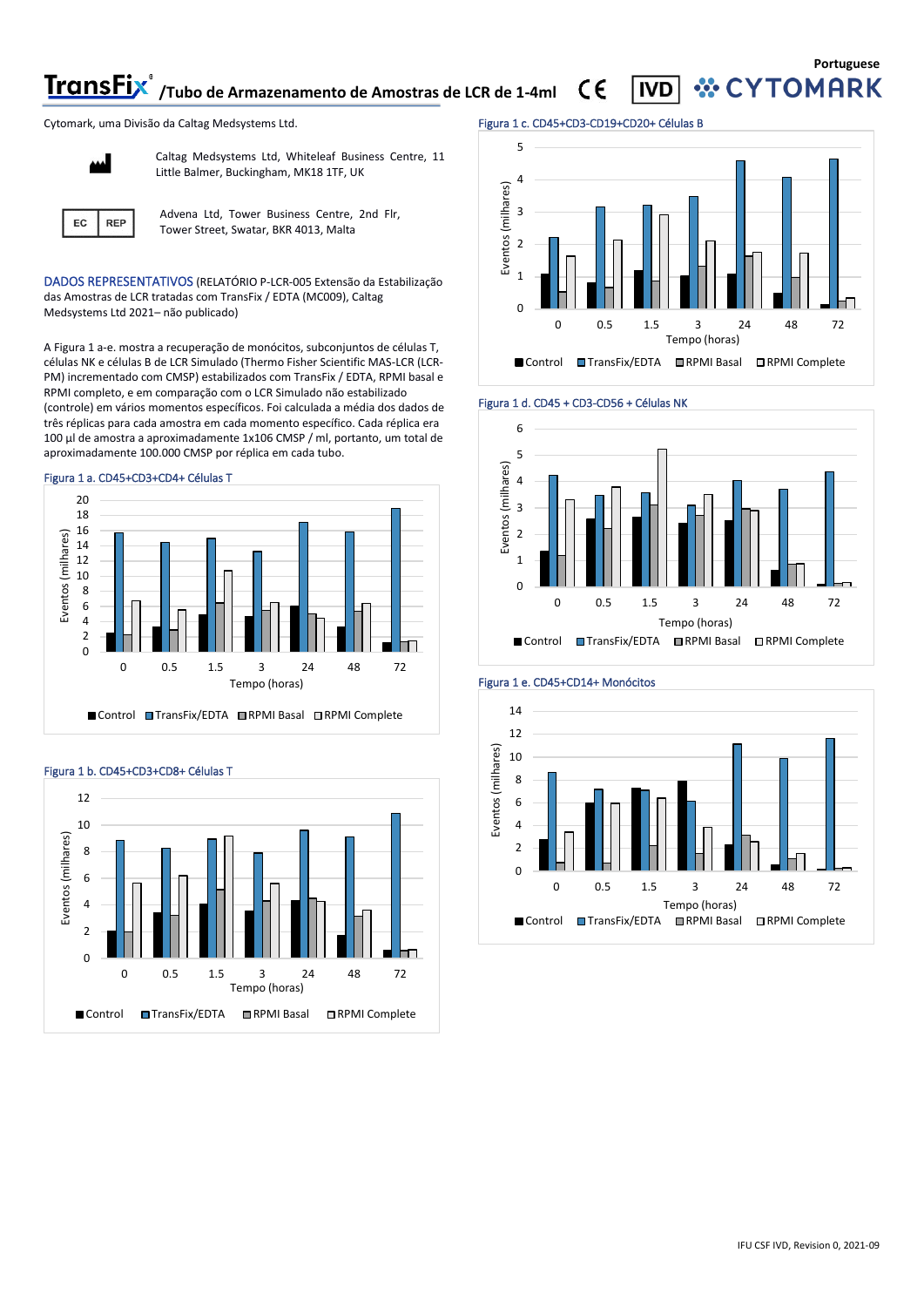**TransFix**<sup>®</sup> /Tubo de Armazenamento de Amostras de LCR de 1-4ml CE

**Portuguese YTOMARK** 

Cytomark, uma Divisão da Caltag Medsystems Ltd.



Caltag Medsystems Ltd, Whiteleaf Business Centre, 11 Little Balmer, Buckingham, MK18 1TF, UK



Advena Ltd, Tower Business Centre, 2nd Flr, Tower Street, Swatar, BKR 4013, Malta

DADOS REPRESENTATIVOS (RELATÓRIO P-LCR-005 Extensão da Estabilização das Amostras de LCR tratadas com TransFix / EDTA (MC009), Caltag Medsystems Ltd 2021– não publicado)

A Figura 1 a-e. mostra a recuperação de monócitos, subconjuntos de células T, células NK e células B de LCR Simulado (Thermo Fisher Scientific MAS-LCR (LCR-PM) incrementado com CMSP) estabilizados com TransFix / EDTA, RPMI basal e RPMI completo, e em comparação com o LCR Simulado não estabilizado (controle) em vários momentos específicos. Foi calculada a média dos dados de três réplicas para cada amostra em cada momento específico. Cada réplica era 100 µl de amostra a aproximadamente 1x106 CMSP / ml, portanto, um total de aproximadamente 100.000 CMSP por réplica em cada tubo.









#### Figura 1 c. CD45+CD3-CD19+CD20+ Células B









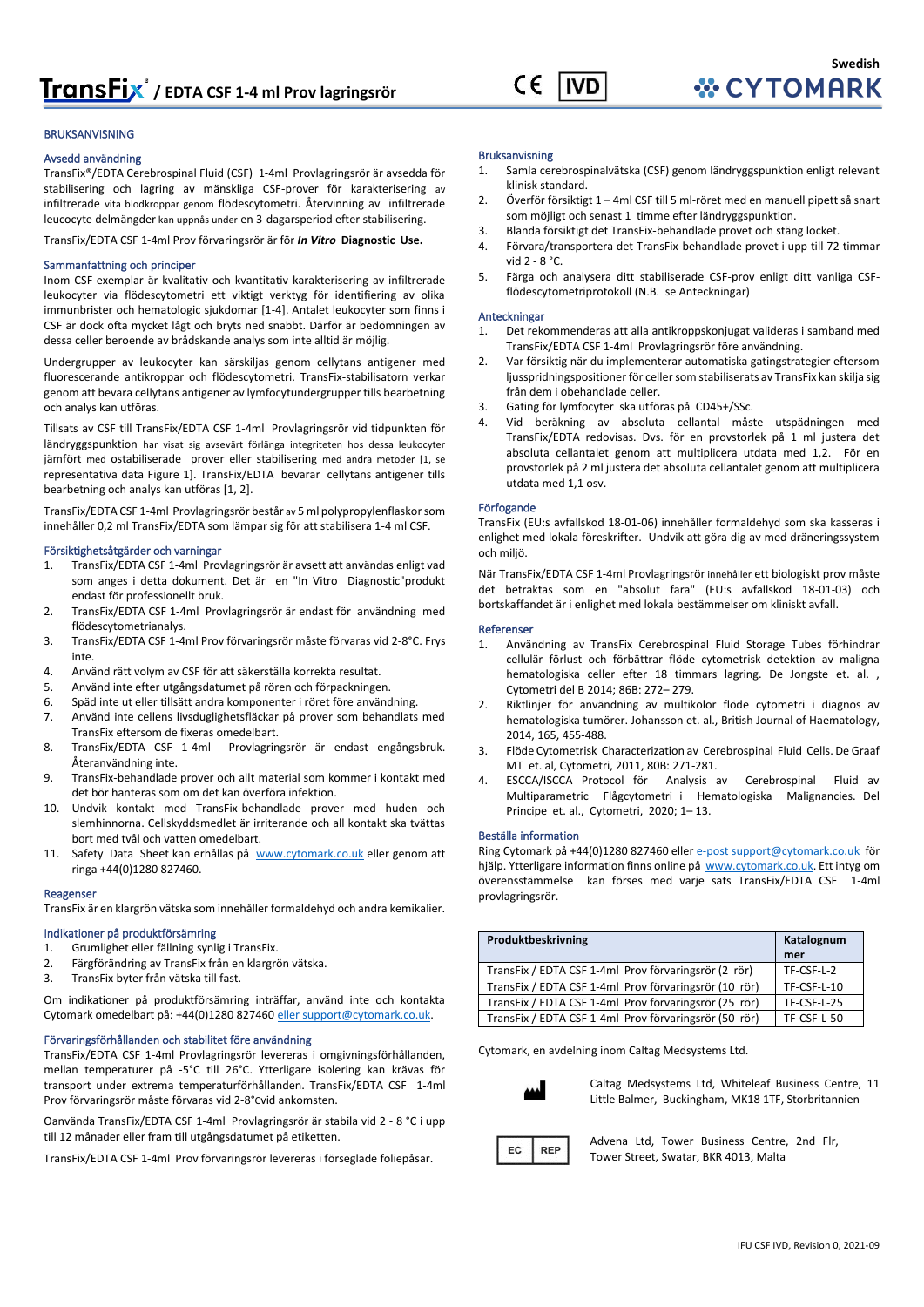

#### BRUKSANVISNING

#### Avsedd användning

TransFix®/EDTA Cerebrospinal Fluid (CSF) 1-4ml Provlagringsrör är avsedda för stabilisering och lagring av mänskliga CSF-prover för karakterisering av infiltrerade vita blodkroppar genom flödescytometri. Återvinning av infiltrerade leucocyte delmängder kan uppnås under en 3-dagarsperiod efter stabilisering.

TransFix/EDTA CSF 1-4ml Prov förvaringsrör är för *In Vitro* **Diagnostic Use.**

#### Sammanfattning och principer

Inom CSF-exemplar är kvalitativ och kvantitativ karakterisering av infiltrerade leukocyter via flödescytometri ett viktigt verktyg för identifiering av olika immunbrister och hematologic sjukdomar [1-4]. Antalet leukocyter som finns i CSF är dock ofta mycket lågt och bryts ned snabbt. Därför är bedömningen av dessa celler beroende av brådskande analys som inte alltid är möjlig.

Undergrupper av leukocyter kan särskiljas genom cellytans antigener med fluorescerande antikroppar och flödescytometri. TransFix-stabilisatorn verkar genom att bevara cellytans antigener av lymfocytundergrupper tills bearbetning och analys kan utföras.

Tillsats av CSF till TransFix/EDTA CSF 1-4ml Provlagringsrör vid tidpunkten för ländryggspunktion har visat sig avsevärt förlänga integriteten hos dessa leukocyter jämfört med ostabiliserade prover eller stabilisering med andra metoder [1, se representativa data Figure 1]. TransFix/EDTA bevarar cellytans antigener tills bearbetning och analys kan utföras [1, 2].

TransFix/EDTA CSF 1-4ml Provlagringsrör består av 5 ml polypropylenflaskor som innehåller 0,2 ml TransFix/EDTA som lämpar sig för att stabilisera 1-4 ml CSF.

#### Försiktighetsåtgärder och varningar

- 1. TransFix/EDTA CSF 1-4ml Provlagringsrör är avsett att användas enligt vad som anges i detta dokument. Det är en "In Vitro Diagnostic"produkt endast för professionellt bruk.
- 2. TransFix/EDTA CSF 1-4ml Provlagringsrör är endast för användning med flödescytometrianalys.
- 3. TransFix/EDTA CSF 1-4ml Prov förvaringsrör måste förvaras vid 2-8°C. Frys inte.
- 4. Använd rätt volym av CSF för att säkerställa korrekta resultat.
- 5. Använd inte efter utgångsdatumet på rören och förpackningen.
- 6. Späd inte ut eller tillsätt andra komponenter i röret före användning.
- 7. Använd inte cellens livsduglighetsfläckar på prover som behandlats med TransFix eftersom de fixeras omedelbart.
- 8. TransFix/EDTA CSF 1-4ml Provlagringsrör är endast engångsbruk. Återanvändning inte.
- 9. TransFix-behandlade prover och allt material som kommer i kontakt med det bör hanteras som om det kan överföra infektion.
- 10. Undvik kontakt med TransFix-behandlade prover med huden och slemhinnorna. Cellskyddsmedlet är irriterande och all kontakt ska tvättas bort med tvål och vatten omedelbart.
- 11. Safety Data Sheet kan erhållas på [www.cytomark.co.uk](http://www.cytomark.co.uk/) eller genom att ringa +44(0)1280 827460.

#### Reagenser

TransFix är en klargrön vätska som innehåller formaldehyd och andra kemikalier.

#### Indikationer på produktförsämring

- 1. Grumlighet eller fällning synlig i TransFix.
- 2. Färgförändring av TransFix från en klargrön vätska.
- 3. TransFix byter från vätska till fast.

Om indikationer på produktförsämring inträffar, använd inte och kontakta Cytomark omedelbart på: +44(0)1280 82746[0 eller support@cytomark.co.uk.](mailto:cytomark@caltagmedsystems.co.uk) 

#### Förvaringsförhållanden och stabilitet före användning

TransFix/EDTA CSF 1-4ml Provlagringsrör levereras i omgivningsförhållanden, mellan temperaturer på -5°C till 26°C. Ytterligare isolering kan krävas för transport under extrema temperaturförhållanden. TransFix/EDTA CSF 1-4ml Prov förvaringsrör måste förvaras vid 2-8°Cvid ankomsten.

Oanvända TransFix/EDTA CSF 1-4ml Provlagringsrör är stabila vid 2 - 8 °C i upp till 12 månader eller fram till utgångsdatumet på etiketten.

TransFix/EDTA CSF 1-4ml Prov förvaringsrör levereras i förseglade foliepåsar.

#### Bruksanvisning

- 1. Samla cerebrospinalvätska (CSF) genom ländryggspunktion enligt relevant klinisk standard.
- 2. Överför försiktigt 1 4ml CSF till 5 ml-röret med en manuell pipett så snart som möjligt och senast 1 timme efter ländryggspunktion.
- 3. Blanda försiktigt det TransFix-behandlade provet och stäng locket.
- 4. Förvara/transportera det TransFix-behandlade provet i upp till 72 timmar vid 2 - 8 °C.
- 5. Färga och analysera ditt stabiliserade CSF-prov enligt ditt vanliga CSFflödescytometriprotokoll (N.B. se Anteckningar)

#### Anteckningar

- 1. Det rekommenderas att alla antikroppskonjugat valideras i samband med TransFix/EDTA CSF 1-4ml Provlagringsrör före användning.
- 2. Var försiktig när du implementerar automatiska gatingstrategier eftersom ljusspridningspositioner för celler som stabiliserats av TransFix kan skilja sig från dem i obehandlade celler.
- 3. Gating för lymfocyter ska utföras på CD45+/SSc.
- 4. Vid beräkning av absoluta cellantal måste utspädningen med TransFix/EDTA redovisas. Dvs. för en provstorlek på 1 ml justera det absoluta cellantalet genom att multiplicera utdata med 1,2. För en provstorlek på 2 ml justera det absoluta cellantalet genom att multiplicera utdata med 1,1 osv.

#### Förfogande

TransFix (EU:s avfallskod 18-01-06) innehåller formaldehyd som ska kasseras i enlighet med lokala föreskrifter. Undvik att göra dig av med dräneringssystem och miljö.

När TransFix/EDTA CSF 1-4ml Provlagringsrör innehåller ett biologiskt prov måste det betraktas som en "absolut fara" (EU:s avfallskod 18-01-03) och bortskaffandet är i enlighet med lokala bestämmelser om kliniskt avfall.

#### Referenser

- 1. Användning av TransFix Cerebrospinal Fluid Storage Tubes förhindrar cellulär förlust och förbättrar flöde cytometrisk detektion av maligna hematologiska celler efter 18 timmars lagring. De Jongste et. al. , Cytometri del B 2014; 86B: 272– 279.
- 2. Riktlinjer för användning av multikolor flöde cytometri i diagnos av hematologiska tumörer. Johansson et. al., British Journal of Haematology, 2014, 165, 455-488.
- 3. Flöde Cytometrisk Characterization av Cerebrospinal Fluid Cells. De Graaf MT et. al, Cytometri, 2011, 80B: 271-281.
- 4. ESCCA/ISCCA Protocol för Analysis av Cerebrospinal Fluid av Multiparametric Flågcytometri i Hematologiska Malignancies. Del Principe et. al., Cytometri, 2020; 1– 13.

#### Beställa information

Ring Cytomark på +44(0)1280 827460 elle[r e-post support@cytomark.co.uk](mailto:cytomark@caltagmedsystems.co.uk) för hjälp. Ytterligare information finns online på [www.cytomark.co.uk.](http://www.cytomark.co.uk/) Ett intyg om överensstämmelse kan förses med varje sats TransFix/EDTA CSF 1-4ml provlagringsrör.

| Produktbeskrivning                                    | Katalognum<br>mer |
|-------------------------------------------------------|-------------------|
| TransFix / EDTA CSF 1-4ml Prov förvaringsrör (2 rör)  | TF-CSF-L-2        |
| TransFix / EDTA CSF 1-4ml Prov förvaringsrör (10 rör) | TF-CSF-L-10       |
| TransFix / EDTA CSF 1-4ml Prov förvaringsrör (25 rör) | TF-CSF-L-25       |
| TransFix / EDTA CSF 1-4ml Prov förvaringsrör (50 rör) | TF-CSF-L-50       |

Cytomark, en avdelning inom Caltag Medsystems Ltd.



Caltag Medsystems Ltd, Whiteleaf Business Centre, 11 Little Balmer, Buckingham, MK18 1TF, Storbritannien



Advena Ltd, Tower Business Centre, 2nd Flr, Tower Street, Swatar, BKR 4013, Malta